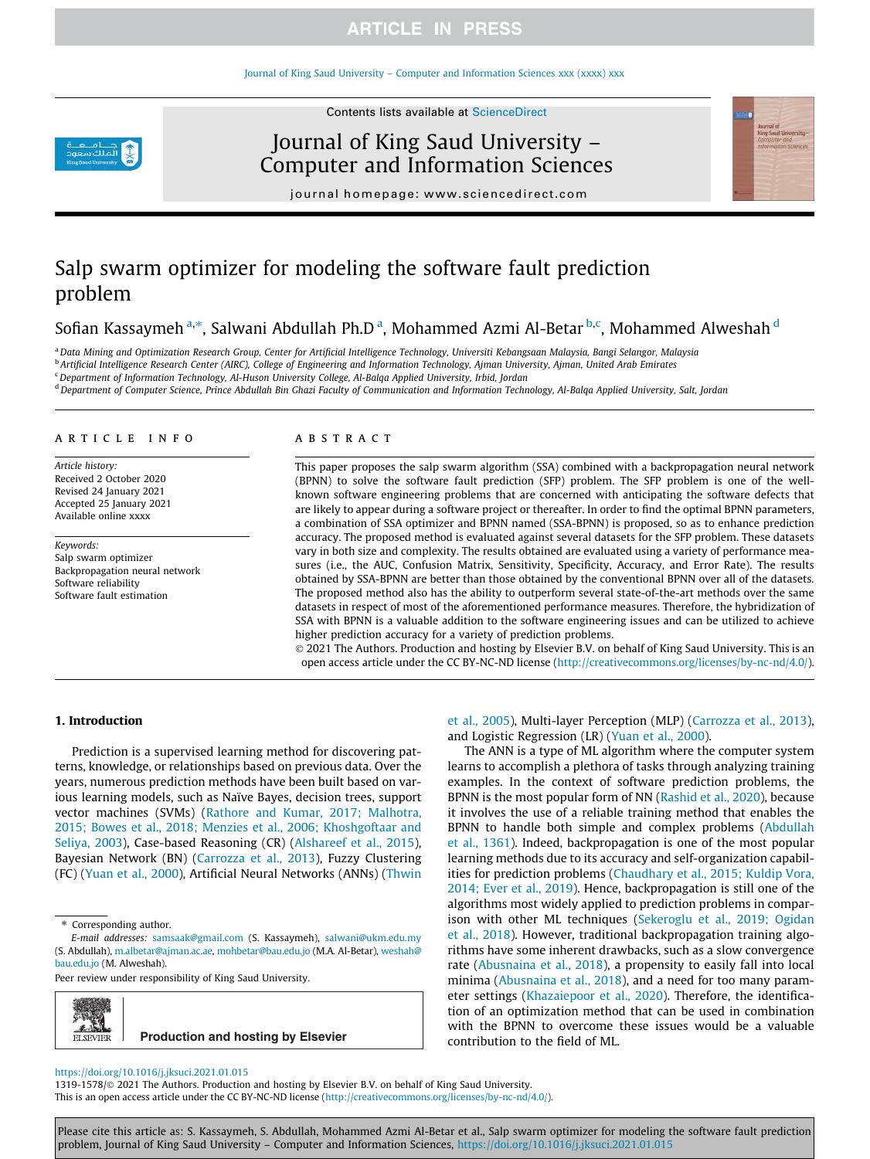#### Journal of King Saud University – Computer and Information Sciences xxx (xxxx) xxx





Journal of King Saud University – Computer and Information Sciences



journal homepage: www.sciencedirect.com

# Salp swarm optimizer for modeling the software fault prediction problem

# Sofian Kassaymeh<sup>a,</sup>\*, Salwani Abdullah Ph.D<sup>.a</sup>, Mohammed Azmi Al-Betar<sup>.b,c</sup>, Mohammed Alweshah <sup>d</sup>

<sup>a</sup>*Data Mining and Optimization Research Group, Center for Artificial Intelligence Technology, Universiti Kebangsaan Malaysia, Bangi Selangor, Malaysia* b *Artificial Intelligence Research Center (AIRC), College of Engineering and Information Technology, Ajman University, Ajman, United Arab Emirates*

<sup>c</sup>*Department of Information Technology, Al-Huson University College, Al-Balqa Applied University, Irbid, Jordan*

<sup>d</sup>*Department of Computer Science, Prince Abdullah Bin Ghazi Faculty of Communication and Information Technology, Al-Balqa Applied University, Salt, Jordan*

#### article info

*Article history:* Received 2 October 2020 Revised 24 January 2021 Accepted 25 January 2021 Available online xxxx

*Keywords:* Salp swarm optimizer Backpropagation neural network Software reliability Software fault estimation

#### **ABSTRACT**

This paper proposes the salp swarm algorithm (SSA) combined with a backpropagation neural network (BPNN) to solve the software fault prediction (SFP) problem. The SFP problem is one of the wellknown software engineering problems that are concerned with anticipating the software defects that are likely to appear during a software project or thereafter. In order to find the optimal BPNN parameters, a combination of SSA optimizer and BPNN named (SSA-BPNN) is proposed, so as to enhance prediction accuracy. The proposed method is evaluated against several datasets for the SFP problem. These datasets vary in both size and complexity. The results obtained are evaluated using a variety of performance measures (i.e., the AUC, Confusion Matrix, Sensitivity, Specificity, Accuracy, and Error Rate). The results obtained by SSA-BPNN are better than those obtained by the conventional BPNN over all of the datasets. The proposed method also has the ability to outperform several state-of-the-art methods over the same datasets in respect of most of the aforementioned performance measures. Therefore, the hybridization of SSA with BPNN is a valuable addition to the software engineering issues and can be utilized to achieve higher prediction accuracy for a variety of prediction problems.

 2021 The Authors. Production and hosting by Elsevier B.V. on behalf of King Saud University. This is an open access article under the CC BY-NC-ND license (http://creativecommons.org/licenses/by-nc-nd/4.0/).

### 1. Introduction

Prediction is a supervised learning method for discovering patterns, knowledge, or relationships based on previous data. Over the years, numerous prediction methods have been built based on various learning models, such as Naïve Bayes, decision trees, support vector machines (SVMs) (Rathore and Kumar, 2017; Malhotra, 2015; Bowes et al., 2018; Menzies et al., 2006; Khoshgoftaar and Seliya, 2003), Case-based Reasoning (CR) (Alshareef et al., 2015), Bayesian Network (BN) (Carrozza et al., 2013), Fuzzy Clustering (FC) (Yuan et al., 2000), Artificial Neural Networks (ANNs) (Thwin

Peer review under responsibility of King Saud University.



**Production and hosting by Elsevier**

et al., 2005), Multi-layer Perception (MLP) (Carrozza et al., 2013), and Logistic Regression (LR) (Yuan et al., 2000).

The ANN is a type of ML algorithm where the computer system learns to accomplish a plethora of tasks through analyzing training examples. In the context of software prediction problems, the BPNN is the most popular form of NN (Rashid et al., 2020), because it involves the use of a reliable training method that enables the BPNN to handle both simple and complex problems (Abdullah et al., 1361). Indeed, backpropagation is one of the most popular learning methods due to its accuracy and self-organization capabilities for prediction problems (Chaudhary et al., 2015; Kuldip Vora, 2014; Ever et al., 2019). Hence, backpropagation is still one of the algorithms most widely applied to prediction problems in comparison with other ML techniques (Sekeroglu et al., 2019; Ogidan et al., 2018). However, traditional backpropagation training algorithms have some inherent drawbacks, such as a slow convergence rate (Abusnaina et al., 2018), a propensity to easily fall into local minima (Abusnaina et al., 2018), and a need for too many parameter settings (Khazaiepoor et al., 2020). Therefore, the identification of an optimization method that can be used in combination with the BPNN to overcome these issues would be a valuable contribution to the field of ML.

#### https://doi.org/10.1016/j.jksuci.2021.01.015

1319-1578/ 2021 The Authors. Production and hosting by Elsevier B.V. on behalf of King Saud University. This is an open access article under the CC BY-NC-ND license (http://creativecommons.org/licenses/by-nc-nd/4.0/).

Please cite this article as: S. Kassaymeh, S. Abdullah, Mohammed Azmi Al-Betar et al., Salp swarm optimizer for modeling the software fault prediction problem, Journal of King Saud University – Computer and Information Sciences, https://doi.org/10.1016/j.jksuci.2021.01.015

<sup>\*</sup> Corresponding author.

*E-mail addresses:* samsaak@gmail.com (S. Kassaymeh), salwani@ukm.edu.my (S. Abdullah), m.albetar@ajman.ac.ae, mohbetar@bau.edu.jo (M.A. Al-Betar), weshah@ bau.edu.jo (M. Alweshah).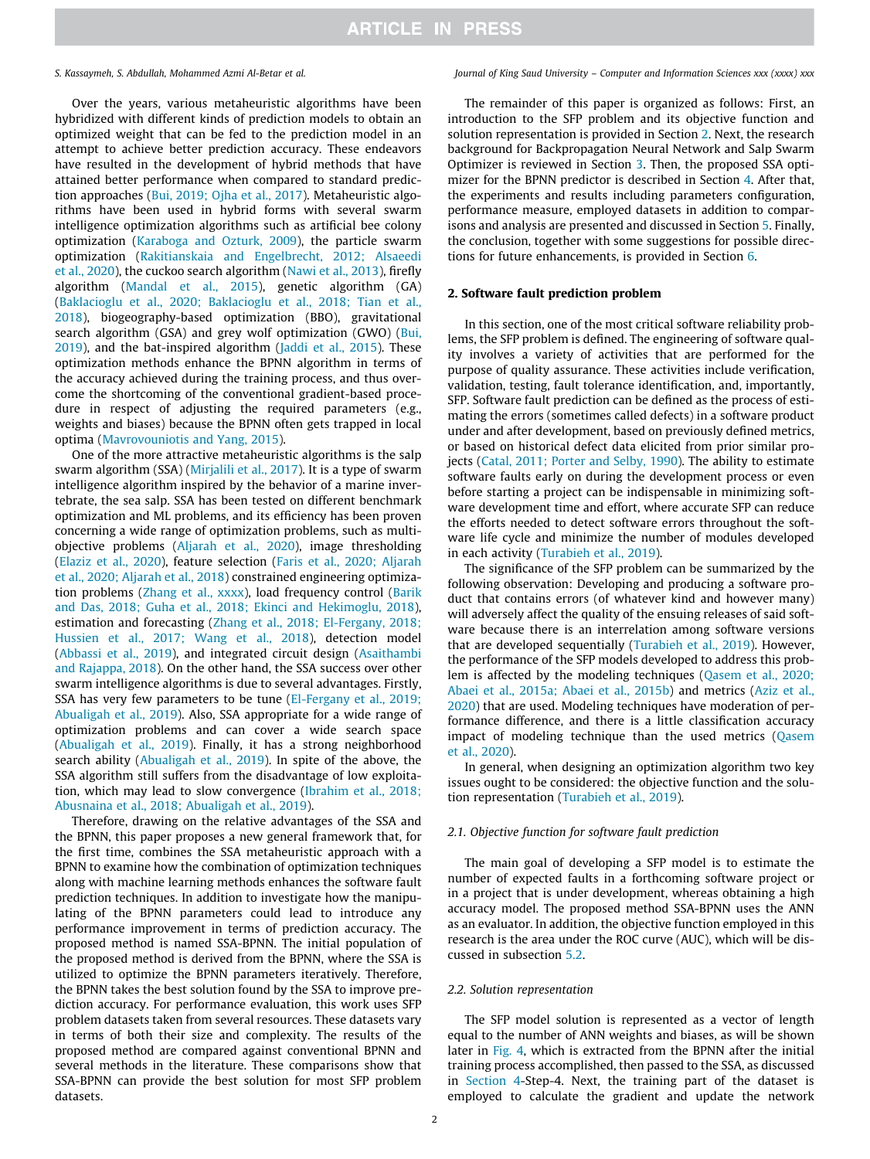Over the years, various metaheuristic algorithms have been hybridized with different kinds of prediction models to obtain an optimized weight that can be fed to the prediction model in an attempt to achieve better prediction accuracy. These endeavors have resulted in the development of hybrid methods that have attained better performance when compared to standard prediction approaches (Bui, 2019; Ojha et al., 2017). Metaheuristic algorithms have been used in hybrid forms with several swarm intelligence optimization algorithms such as artificial bee colony optimization (Karaboga and Ozturk, 2009), the particle swarm optimization (Rakitianskaia and Engelbrecht, 2012; Alsaeedi et al., 2020), the cuckoo search algorithm (Nawi et al., 2013), firefly algorithm (Mandal et al., 2015), genetic algorithm (GA) (Baklacioglu et al., 2020; Baklacioglu et al., 2018; Tian et al., 2018), biogeography-based optimization (BBO), gravitational search algorithm (GSA) and grey wolf optimization (GWO) (Bui, 2019), and the bat-inspired algorithm (Jaddi et al., 2015). These optimization methods enhance the BPNN algorithm in terms of the accuracy achieved during the training process, and thus overcome the shortcoming of the conventional gradient-based procedure in respect of adjusting the required parameters (e.g., weights and biases) because the BPNN often gets trapped in local optima (Mavrovouniotis and Yang, 2015).

One of the more attractive metaheuristic algorithms is the salp swarm algorithm (SSA) (Mirjalili et al., 2017). It is a type of swarm intelligence algorithm inspired by the behavior of a marine invertebrate, the sea salp. SSA has been tested on different benchmark optimization and ML problems, and its efficiency has been proven concerning a wide range of optimization problems, such as multiobjective problems (Aljarah et al., 2020), image thresholding (Elaziz et al., 2020), feature selection (Faris et al., 2020; Aljarah et al., 2020; Aljarah et al., 2018) constrained engineering optimization problems (Zhang et al., xxxx), load frequency control (Barik and Das, 2018; Guha et al., 2018; Ekinci and Hekimoglu, 2018), estimation and forecasting (Zhang et al., 2018; El-Fergany, 2018; Hussien et al., 2017; Wang et al., 2018), detection model (Abbassi et al., 2019), and integrated circuit design (Asaithambi and Rajappa, 2018). On the other hand, the SSA success over other swarm intelligence algorithms is due to several advantages. Firstly, SSA has very few parameters to be tune (El-Fergany et al., 2019; Abualigah et al., 2019). Also, SSA appropriate for a wide range of optimization problems and can cover a wide search space (Abualigah et al., 2019). Finally, it has a strong neighborhood search ability (Abualigah et al., 2019). In spite of the above, the SSA algorithm still suffers from the disadvantage of low exploitation, which may lead to slow convergence (Ibrahim et al., 2018; Abusnaina et al., 2018; Abualigah et al., 2019).

Therefore, drawing on the relative advantages of the SSA and the BPNN, this paper proposes a new general framework that, for the first time, combines the SSA metaheuristic approach with a BPNN to examine how the combination of optimization techniques along with machine learning methods enhances the software fault prediction techniques. In addition to investigate how the manipulating of the BPNN parameters could lead to introduce any performance improvement in terms of prediction accuracy. The proposed method is named SSA-BPNN. The initial population of the proposed method is derived from the BPNN, where the SSA is utilized to optimize the BPNN parameters iteratively. Therefore, the BPNN takes the best solution found by the SSA to improve prediction accuracy. For performance evaluation, this work uses SFP problem datasets taken from several resources. These datasets vary in terms of both their size and complexity. The results of the proposed method are compared against conventional BPNN and several methods in the literature. These comparisons show that SSA-BPNN can provide the best solution for most SFP problem datasets.

#### *S. Kassaymeh, S. Abdullah, Mohammed Azmi Al-Betar et al. Journal of King Saud University – Computer and Information Sciences xxx (xxxx) xxx*

The remainder of this paper is organized as follows: First, an introduction to the SFP problem and its objective function and solution representation is provided in Section 2. Next, the research background for Backpropagation Neural Network and Salp Swarm Optimizer is reviewed in Section 3. Then, the proposed SSA optimizer for the BPNN predictor is described in Section 4. After that, the experiments and results including parameters configuration, performance measure, employed datasets in addition to comparisons and analysis are presented and discussed in Section 5. Finally, the conclusion, together with some suggestions for possible directions for future enhancements, is provided in Section 6.

### 2. Software fault prediction problem

In this section, one of the most critical software reliability problems, the SFP problem is defined. The engineering of software quality involves a variety of activities that are performed for the purpose of quality assurance. These activities include verification, validation, testing, fault tolerance identification, and, importantly, SFP. Software fault prediction can be defined as the process of estimating the errors (sometimes called defects) in a software product under and after development, based on previously defined metrics, or based on historical defect data elicited from prior similar projects (Catal, 2011; Porter and Selby, 1990). The ability to estimate software faults early on during the development process or even before starting a project can be indispensable in minimizing software development time and effort, where accurate SFP can reduce the efforts needed to detect software errors throughout the software life cycle and minimize the number of modules developed in each activity (Turabieh et al., 2019).

The significance of the SFP problem can be summarized by the following observation: Developing and producing a software product that contains errors (of whatever kind and however many) will adversely affect the quality of the ensuing releases of said software because there is an interrelation among software versions that are developed sequentially (Turabieh et al., 2019). However, the performance of the SFP models developed to address this problem is affected by the modeling techniques (Qasem et al., 2020; Abaei et al., 2015a; Abaei et al., 2015b) and metrics (Aziz et al., 2020) that are used. Modeling techniques have moderation of performance difference, and there is a little classification accuracy impact of modeling technique than the used metrics (Qasem et al., 2020).

In general, when designing an optimization algorithm two key issues ought to be considered: the objective function and the solution representation (Turabieh et al., 2019).

#### *2.1. Objective function for software fault prediction*

The main goal of developing a SFP model is to estimate the number of expected faults in a forthcoming software project or in a project that is under development, whereas obtaining a high accuracy model. The proposed method SSA-BPNN uses the ANN as an evaluator. In addition, the objective function employed in this research is the area under the ROC curve (AUC), which will be discussed in subsection 5.2.

#### *2.2. Solution representation*

The SFP model solution is represented as a vector of length equal to the number of ANN weights and biases, as will be shown later in Fig. 4, which is extracted from the BPNN after the initial training process accomplished, then passed to the SSA, as discussed in Section 4-Step-4. Next, the training part of the dataset is employed to calculate the gradient and update the network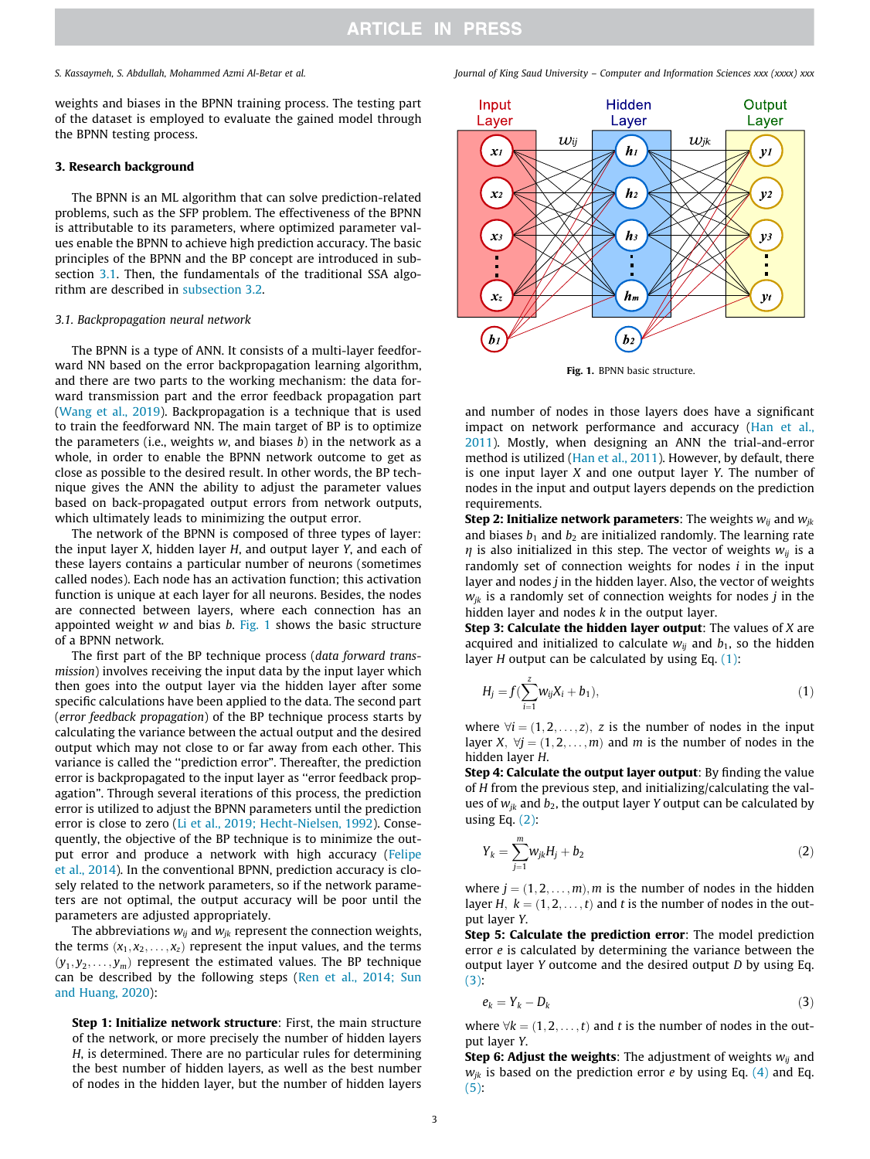weights and biases in the BPNN training process. The testing part of the dataset is employed to evaluate the gained model through the BPNN testing process.

#### 3. Research background

The BPNN is an ML algorithm that can solve prediction-related problems, such as the SFP problem. The effectiveness of the BPNN is attributable to its parameters, where optimized parameter values enable the BPNN to achieve high prediction accuracy. The basic principles of the BPNN and the BP concept are introduced in subsection 3.1. Then, the fundamentals of the traditional SSA algorithm are described in subsection 3.2.

#### *3.1. Backpropagation neural network*

The BPNN is a type of ANN. It consists of a multi-layer feedforward NN based on the error backpropagation learning algorithm, and there are two parts to the working mechanism: the data forward transmission part and the error feedback propagation part (Wang et al., 2019). Backpropagation is a technique that is used to train the feedforward NN. The main target of BP is to optimize the parameters (i.e., weights *w*, and biases *b*) in the network as a whole, in order to enable the BPNN network outcome to get as close as possible to the desired result. In other words, the BP technique gives the ANN the ability to adjust the parameter values based on back-propagated output errors from network outputs, which ultimately leads to minimizing the output error.

The network of the BPNN is composed of three types of layer: the input layer *X*, hidden layer *H*, and output layer *Y*, and each of these layers contains a particular number of neurons (sometimes called nodes). Each node has an activation function; this activation function is unique at each layer for all neurons. Besides, the nodes are connected between layers, where each connection has an appointed weight *w* and bias *b*. Fig. 1 shows the basic structure of a BPNN network.

The first part of the BP technique process (*data forward transmission*) involves receiving the input data by the input layer which then goes into the output layer via the hidden layer after some specific calculations have been applied to the data. The second part (*error feedback propagation*) of the BP technique process starts by calculating the variance between the actual output and the desired output which may not close to or far away from each other. This variance is called the ''prediction error". Thereafter, the prediction error is backpropagated to the input layer as ''error feedback propagation". Through several iterations of this process, the prediction error is utilized to adjust the BPNN parameters until the prediction error is close to zero (Li et al., 2019; Hecht-Nielsen, 1992). Consequently, the objective of the BP technique is to minimize the output error and produce a network with high accuracy (Felipe et al., 2014). In the conventional BPNN, prediction accuracy is closely related to the network parameters, so if the network parameters are not optimal, the output accuracy will be poor until the parameters are adjusted appropriately.

The abbreviations  $w_{ij}$  and  $w_{jk}$  represent the connection weights, the terms  $(x_1, x_2, \ldots, x_z)$  represent the input values, and the terms  $(y_1, y_2, \ldots, y_m)$  represent the estimated values. The BP technique can be described by the following steps (Ren et al., 2014; Sun and Huang, 2020):

Step 1: Initialize network structure: First, the main structure of the network, or more precisely the number of hidden layers *H*, is determined. There are no particular rules for determining the best number of hidden layers, as well as the best number of nodes in the hidden layer, but the number of hidden layers

*S. Kassaymeh, S. Abdullah, Mohammed Azmi Al-Betar et al. Journal of King Saud University – Computer and Information Sciences xxx (xxxx) xxx*



Fig. 1. BPNN basic structure.

and number of nodes in those layers does have a significant impact on network performance and accuracy (Han et al., 2011). Mostly, when designing an ANN the trial-and-error method is utilized (Han et al., 2011). However, by default, there is one input layer *X* and one output layer *Y*. The number of nodes in the input and output layers depends on the prediction requirements.

**Step 2: Initialize network parameters:** The weights  $w_{ii}$  and  $w_{ik}$ and biases  $b_1$  and  $b_2$  are initialized randomly. The learning rate  $\eta$  is also initialized in this step. The vector of weights  $w_{ij}$  is a randomly set of connection weights for nodes *i* in the input layer and nodes *j* in the hidden layer. Also, the vector of weights  $w_{ik}$  is a randomly set of connection weights for nodes *j* in the hidden layer and nodes *k* in the output layer.

Step 3: Calculate the hidden layer output: The values of *X* are acquired and initialized to calculate  $w_{ii}$  and  $b_{1}$ , so the hidden layer *H* output can be calculated by using Eq. (1):

$$
H_j = f(\sum_{i=1}^{z} w_{ij} X_i + b_1),
$$
\n(1)

where  $\forall i = (1, 2, \ldots, z)$ , *z* is the number of nodes in the input layer *X*;  $\forall i = (1, 2, \ldots, m)$  and *m* is the number of nodes in the hidden layer *H*.

Step 4: Calculate the output layer output: By finding the value of *H* from the previous step, and initializing/calculating the values of  $w_{jk}$  and  $b_2$ , the output layer *Y* output can be calculated by using Eq.  $(2)$ :

$$
Y_k = \sum_{j=1}^{m} w_{jk} H_j + b_2
$$
 (2)

where  $j = (1, 2, \dots, m)$ , *m* is the number of nodes in the hidden layer *H*,  $k = (1, 2, \ldots, t)$  and *t* is the number of nodes in the output layer *Y*.

Step 5: Calculate the prediction error: The model prediction error *e* is calculated by determining the variance between the output layer *Y* outcome and the desired output *D* by using Eq. (3):

$$
e_k = Y_k - D_k \tag{3}
$$

where  $\forall k = (1, 2, \ldots, t)$  and *t* is the number of nodes in the output layer *Y*.

**Step 6: Adjust the weights:** The adjustment of weights  $w_{ij}$  and  $w_{ik}$  is based on the prediction error *e* by using Eq. (4) and Eq.  $(5):$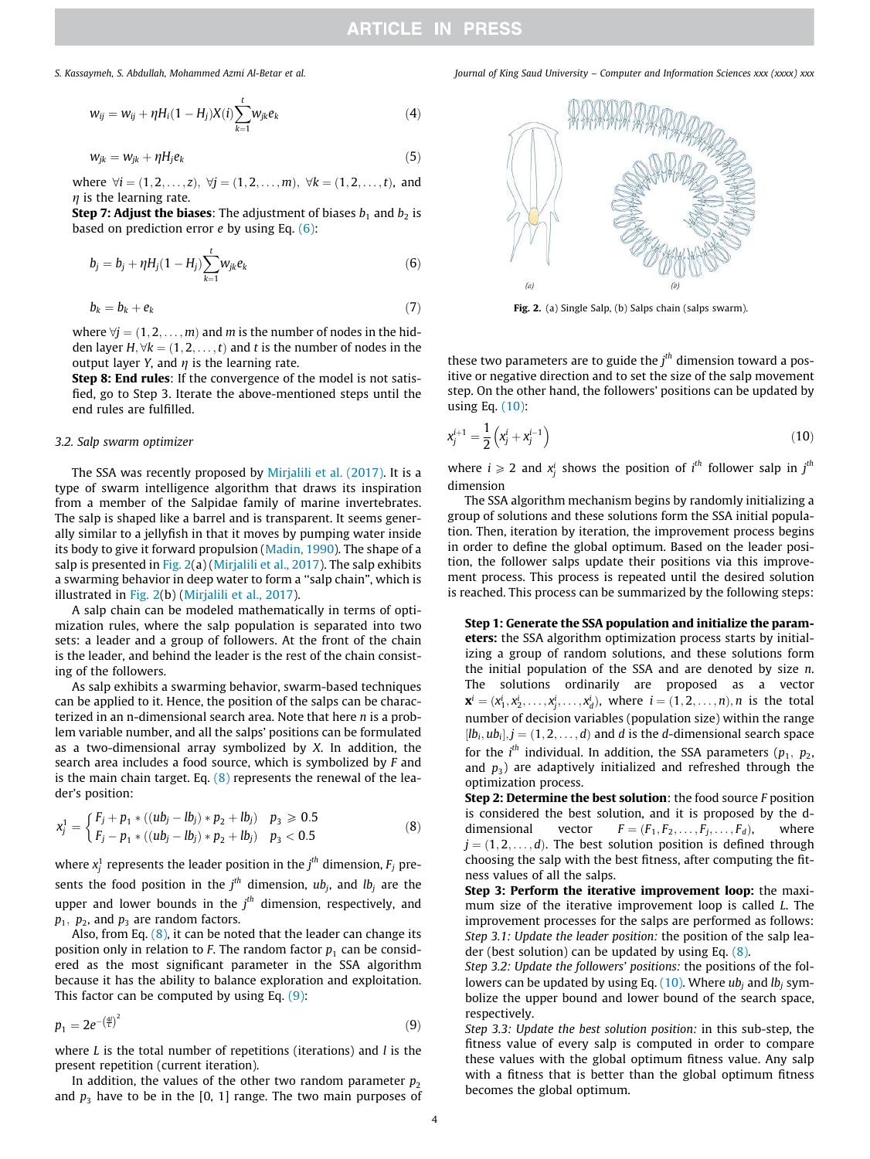$$
w_{ij} = w_{ij} + \eta H_i (1 - H_j) X(i) \sum_{k=1}^{t} w_{jk} e_k
$$
 (4)

$$
w_{jk} = w_{jk} + \eta H_j e_k \tag{5}
$$

where  $\forall i = (1, 2, \ldots, z), \forall j = (1, 2, \ldots, m), \forall k = (1, 2, \ldots, t)$ , and  $\eta$  is the learning rate.

**Step 7: Adjust the biases:** The adjustment of biases  $b_1$  and  $b_2$  is based on prediction error *e* by using Eq. (6):

$$
b_j = b_j + \eta H_j (1 - H_j) \sum_{k=1}^t w_{jk} e_k \tag{6}
$$

$$
b_k = b_k + e_k \tag{7}
$$

where  $\forall j = (1, 2, \dots, m)$  and *m* is the number of nodes in the hidden layer  $H$ ;  $\forall k = (1, 2, \ldots, t)$  and *t* is the number of nodes in the output layer *Y*, and  $\eta$  is the learning rate.

Step 8: End rules: If the convergence of the model is not satisfied, go to Step 3. Iterate the above-mentioned steps until the end rules are fulfilled.

#### *3.2. Salp swarm optimizer*

The SSA was recently proposed by Mirjalili et al. (2017). It is a type of swarm intelligence algorithm that draws its inspiration from a member of the Salpidae family of marine invertebrates. The salp is shaped like a barrel and is transparent. It seems generally similar to a jellyfish in that it moves by pumping water inside its body to give it forward propulsion (Madin, 1990). The shape of a salp is presented in Fig. 2(a) (Mirjalili et al., 2017). The salp exhibits a swarming behavior in deep water to form a ''salp chain", which is illustrated in Fig. 2(b) (Mirjalili et al., 2017).

A salp chain can be modeled mathematically in terms of optimization rules, where the salp population is separated into two sets: a leader and a group of followers. At the front of the chain is the leader, and behind the leader is the rest of the chain consisting of the followers.

As salp exhibits a swarming behavior, swarm-based techniques can be applied to it. Hence, the position of the salps can be characterized in an n-dimensional search area. Note that here *n* is a problem variable number, and all the salps' positions can be formulated as a two-dimensional array symbolized by *X*. In addition, the search area includes a food source, which is symbolized by *F* and is the main chain target. Eq.  $(8)$  represents the renewal of the leader's position:

$$
x_j^1 = \begin{cases} F_j + p_1 * ((ub_j - lb_j) * p_2 + lb_j) & p_3 \ge 0.5 \\ F_j - p_1 * ((ub_j - lb_j) * p_2 + lb_j) & p_3 < 0.5 \end{cases}
$$
 (8)

where  $x_j^1$  represents the leader position in the  $j^{th}$  dimension,  $F_j$  presents the food position in the  $j^{th}$  dimension,  $ub_j$ , and  $lb_j$  are the upper and lower bounds in the *j th* dimension, respectively, and  $p_1, p_2$ , and  $p_3$  are random factors.

Also, from Eq.  $(8)$ , it can be noted that the leader can change its position only in relation to *F*. The random factor  $p_1$  can be considered as the most significant parameter in the SSA algorithm because it has the ability to balance exploration and exploitation. This factor can be computed by using Eq. (9):

$$
p_1 = 2e^{-\left(\frac{4l}{L}\right)^2} \tag{9}
$$

where *L* is the total number of repetitions (iterations) and *l* is the present repetition (current iteration).

In addition, the values of the other two random parameter  $p<sub>2</sub>$ and  $p_3$  have to be in the [0, 1] range. The two main purposes of

*S. Kassaymeh, S. Abdullah, Mohammed Azmi Al-Betar et al. Journal of King Saud University – Computer and Information Sciences xxx (xxxx) xxx*



Fig. 2. (a) Single Salp, (b) Salps chain (salps swarm).

these two parameters are to guide the *j th* dimension toward a positive or negative direction and to set the size of the salp movement step. On the other hand, the followers' positions can be updated by using Eq. (10):

$$
x_j^{i+1} = \frac{1}{2} \left( x_j^i + x_j^{i-1} \right) \tag{10}
$$

where  $i \ge 2$  and  $x_j^i$  shows the position of  $i^{th}$  follower salp in  $j^{th}$ dimension

The SSA algorithm mechanism begins by randomly initializing a group of solutions and these solutions form the SSA initial population. Then, iteration by iteration, the improvement process begins in order to define the global optimum. Based on the leader position, the follower salps update their positions via this improvement process. This process is repeated until the desired solution is reached. This process can be summarized by the following steps:

Step 1: Generate the SSA population and initialize the parameters: the SSA algorithm optimization process starts by initializing a group of random solutions, and these solutions form the initial population of the SSA and are denoted by size *n*. The solutions ordinarily are proposed as a vector  $\mathbf{x}^i = (x_1^i, x_2^i, \dots, x_j^i, \dots, x_d^i)$ , where  $i = (1, 2, \dots, n)$ , *n* is the total number of decision variables (population size) within the range  $[lb_i, ub_i], j = (1, 2, \ldots, d)$  and *d* is the *d*-dimensional search space for the  $i^{th}$  individual. In addition, the SSA parameters  $(p_1, p_2,$ and  $p_3$ ) are adaptively initialized and refreshed through the optimization process.

Step 2: Determine the best solution: the food source *F* position is considered the best solution, and it is proposed by the ddimensional vector  $F = (F_1, F_2, \ldots, F_j, \ldots, F_d)$ , where  $j = (1, 2, \ldots, d)$ . The best solution position is defined through choosing the salp with the best fitness, after computing the fitness values of all the salps.

Step 3: Perform the iterative improvement loop: the maximum size of the iterative improvement loop is called *L*. The improvement processes for the salps are performed as follows: *Step 3.1: Update the leader position:* the position of the salp leader (best solution) can be updated by using Eq. (8).

*Step 3.2: Update the followers' positions:* the positions of the followers can be updated by using Eq. (10). Where *ub<sup>j</sup>* and *lb<sup>j</sup>* symbolize the upper bound and lower bound of the search space, respectively.

*Step 3.3: Update the best solution position:* in this sub-step, the fitness value of every salp is computed in order to compare these values with the global optimum fitness value. Any salp with a fitness that is better than the global optimum fitness becomes the global optimum.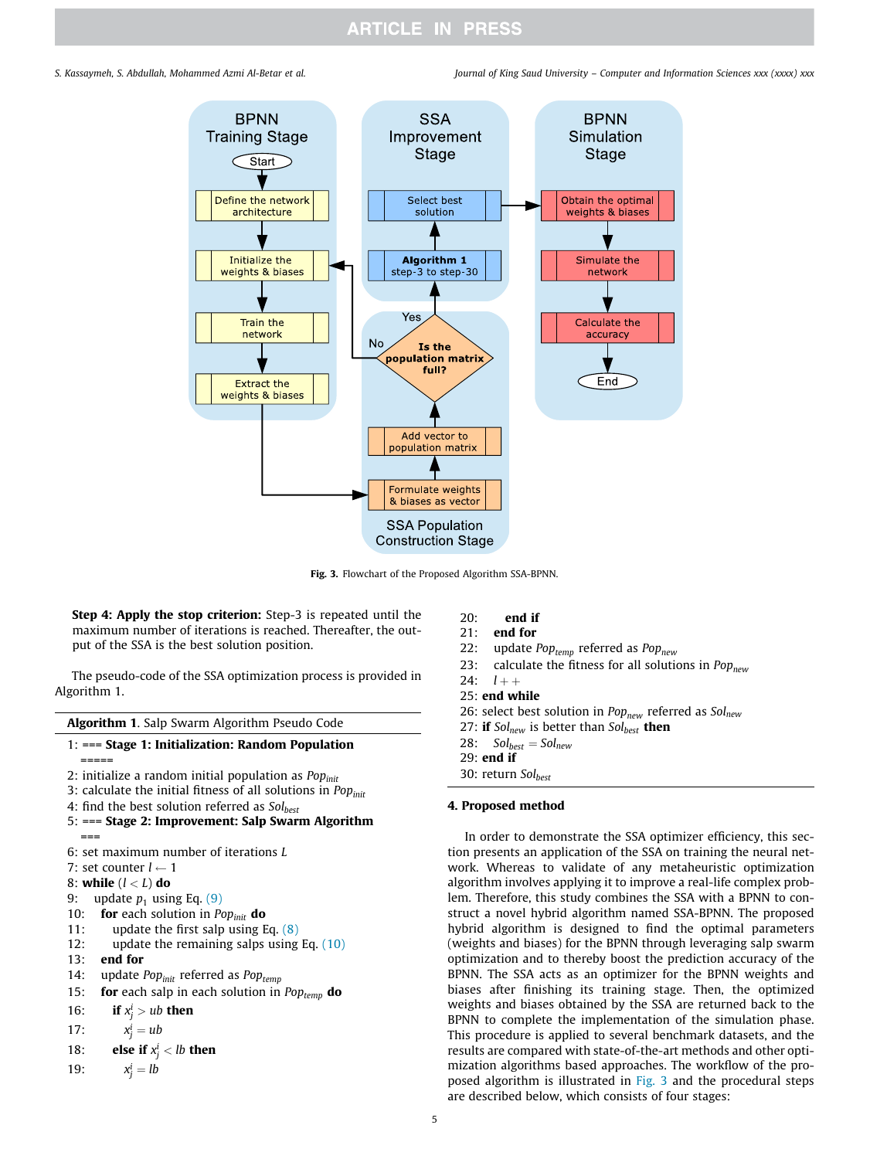*S. Kassaymeh, S. Abdullah, Mohammed Azmi Al-Betar et al. Journal of King Saud University – Computer and Information Sciences xxx (xxxx) xxx*



Fig. 3. Flowchart of the Proposed Algorithm SSA-BPNN.

Step 4: Apply the stop criterion: Step-3 is repeated until the maximum number of iterations is reached. Thereafter, the output of the SSA is the best solution position.

The pseudo-code of the SSA optimization process is provided in Algorithm 1.

| Algorithm 1. Salp Swarm Algorithm Pseudo Code                                                           |
|---------------------------------------------------------------------------------------------------------|
| $1: ==$ Stage 1: Initialization: Random Population<br>=====                                             |
| 2: initialize a random initial population as $Popinit$                                                  |
| 3: calculate the initial fitness of all solutions in Pop <sub>init</sub>                                |
| 4: find the best solution referred as $Sol_{best}$<br>5: === Stage 2: Improvement: Salp Swarm Algorithm |
| $==$                                                                                                    |
| 6: set maximum number of iterations L                                                                   |
| 7: set counter $l \leftarrow 1$                                                                         |
| 8: while $(l < L)$ do                                                                                   |
| update $p_1$ using Eq. (9)<br>9:                                                                        |
| 10: <b>for</b> each solution in <i>Pop<sub>init</sub></i> <b>do</b>                                     |
| update the first salp using Eq. $(8)$<br>11:                                                            |
| update the remaining salps using Eq. $(10)$<br>12:                                                      |
| $13:$ end for                                                                                           |
| 14: update $Pop_{init}$ referred as $Pop_{temp}$                                                        |
| for each salp in each solution in $Pop_{temp}$ do<br>15:                                                |
| if $x_i^i > ub$ then<br>16:                                                                             |
| $x_i^i = ub$<br>17:                                                                                     |
| else if $x_i^i$ < lb then<br>18:                                                                        |
| $x_i^i = lb$<br>19:                                                                                     |
|                                                                                                         |

| 20: | end if |  |
|-----|--------|--|
|     |        |  |

- 21: end for
- 22: update *Poptemp* referred as *Popnew*
- 23: calculate the fitness for all solutions in *Popnew*

24:  $l + +$ 

25: end while

26: select best solution in *Popnew* referred as *Solnew*

27: if *Solnew* is better than *Solbest* then

 $28:$   $Sol_{best} = Sol_{new}$ 

29: end if

30: return *Solbest*

### 4. Proposed method

In order to demonstrate the SSA optimizer efficiency, this section presents an application of the SSA on training the neural network. Whereas to validate of any metaheuristic optimization algorithm involves applying it to improve a real-life complex problem. Therefore, this study combines the SSA with a BPNN to construct a novel hybrid algorithm named SSA-BPNN. The proposed hybrid algorithm is designed to find the optimal parameters (weights and biases) for the BPNN through leveraging salp swarm optimization and to thereby boost the prediction accuracy of the BPNN. The SSA acts as an optimizer for the BPNN weights and biases after finishing its training stage. Then, the optimized weights and biases obtained by the SSA are returned back to the BPNN to complete the implementation of the simulation phase. This procedure is applied to several benchmark datasets, and the results are compared with state-of-the-art methods and other optimization algorithms based approaches. The workflow of the proposed algorithm is illustrated in Fig. 3 and the procedural steps are described below, which consists of four stages: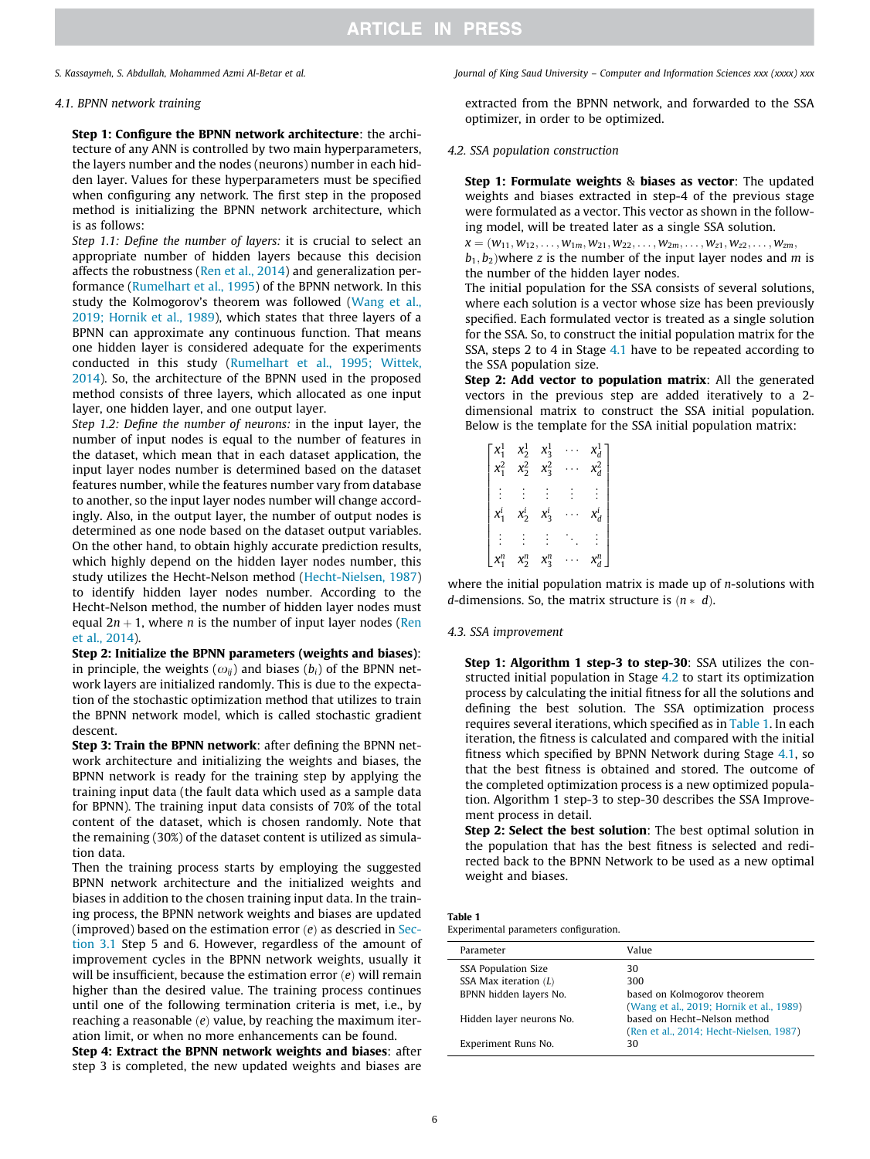### *4.1. BPNN network training*

Step 1: Configure the BPNN network architecture: the architecture of any ANN is controlled by two main hyperparameters, the layers number and the nodes (neurons) number in each hidden layer. Values for these hyperparameters must be specified when configuring any network. The first step in the proposed method is initializing the BPNN network architecture, which is as follows:

*Step 1.1: Define the number of layers:* it is crucial to select an appropriate number of hidden layers because this decision affects the robustness (Ren et al., 2014) and generalization performance (Rumelhart et al., 1995) of the BPNN network. In this study the Kolmogorov's theorem was followed (Wang et al., 2019; Hornik et al., 1989), which states that three layers of a BPNN can approximate any continuous function. That means one hidden layer is considered adequate for the experiments conducted in this study (Rumelhart et al., 1995; Wittek, 2014). So, the architecture of the BPNN used in the proposed method consists of three layers, which allocated as one input layer, one hidden layer, and one output layer.

*Step 1.2: Define the number of neurons:* in the input layer, the number of input nodes is equal to the number of features in the dataset, which mean that in each dataset application, the input layer nodes number is determined based on the dataset features number, while the features number vary from database to another, so the input layer nodes number will change accordingly. Also, in the output layer, the number of output nodes is determined as one node based on the dataset output variables. On the other hand, to obtain highly accurate prediction results, which highly depend on the hidden layer nodes number, this study utilizes the Hecht-Nelson method (Hecht-Nielsen, 1987) to identify hidden layer nodes number. According to the Hecht-Nelson method, the number of hidden layer nodes must equal  $2n + 1$ , where *n* is the number of input layer nodes (Ren et al., 2014).

Step 2: Initialize the BPNN parameters (weights and biases): in principle, the weights  $(\omega_{ij})$  and biases  $(b_i)$  of the BPNN network layers are initialized randomly. This is due to the expectation of the stochastic optimization method that utilizes to train the BPNN network model, which is called stochastic gradient descent.

Step 3: Train the BPNN network: after defining the BPNN network architecture and initializing the weights and biases, the BPNN network is ready for the training step by applying the training input data (the fault data which used as a sample data for BPNN). The training input data consists of 70% of the total content of the dataset, which is chosen randomly. Note that the remaining (30%) of the dataset content is utilized as simulation data.

Then the training process starts by employing the suggested BPNN network architecture and the initialized weights and biases in addition to the chosen training input data. In the training process, the BPNN network weights and biases are updated (improved) based on the estimation error  $(e)$  as descried in Section 3.1 Step 5 and 6. However, regardless of the amount of improvement cycles in the BPNN network weights, usually it will be insufficient, because the estimation error (e) will remain higher than the desired value. The training process continues until one of the following termination criteria is met, i.e., by reaching a reasonable (e) value, by reaching the maximum iteration limit, or when no more enhancements can be found.

Step 4: Extract the BPNN network weights and biases: after step 3 is completed, the new updated weights and biases are

*S. Kassaymeh, S. Abdullah, Mohammed Azmi Al-Betar et al. Journal of King Saud University – Computer and Information Sciences xxx (xxxx) xxx*

extracted from the BPNN network, and forwarded to the SSA optimizer, in order to be optimized.

### *4.2. SSA population construction*

Step 1: Formulate weights & biases as vector: The updated weights and biases extracted in step-4 of the previous stage were formulated as a vector. This vector as shown in the following model, will be treated later as a single SSA solution.

 $x = (w_{11}, w_{12}, \ldots, w_{1m}, w_{21}, w_{22}, \ldots, w_{2m}, \ldots, w_{z1}, w_{z2}, \ldots, w_{zm},$  $b_1, b_2$ ) where *z* is the number of the input layer nodes and *m* is the number of the hidden layer nodes.

The initial population for the SSA consists of several solutions, where each solution is a vector whose size has been previously specified. Each formulated vector is treated as a single solution for the SSA. So, to construct the initial population matrix for the SSA, steps 2 to 4 in Stage 4.1 have to be repeated according to the SSA population size.

Step 2: Add vector to population matrix: All the generated vectors in the previous step are added iteratively to a 2 dimensional matrix to construct the SSA initial population. Below is the template for the SSA initial population matrix:

|         | $x_2^1$ | $x_3^1$ |         |
|---------|---------|---------|---------|
| $x_1^2$ | $x_2^2$ | $x_3^2$ | $x_d^2$ |
|         |         |         | ċ.      |
|         |         |         |         |
|         | $x_2^i$ | $x_3^i$ | $x_d^i$ |
|         |         |         |         |
|         |         |         |         |
|         | $x_2^n$ | $x_3^n$ | $x_d^n$ |

where the initial population matrix is made up of *n*-solutions with *d*-dimensions. So, the matrix structure is  $(n * d)$ .

#### *4.3. SSA improvement*

Step 1: Algorithm 1 step-3 to step-30: SSA utilizes the constructed initial population in Stage 4.2 to start its optimization process by calculating the initial fitness for all the solutions and defining the best solution. The SSA optimization process requires several iterations, which specified as in Table 1. In each iteration, the fitness is calculated and compared with the initial fitness which specified by BPNN Network during Stage 4.1, so that the best fitness is obtained and stored. The outcome of the completed optimization process is a new optimized population. Algorithm 1 step-3 to step-30 describes the SSA Improvement process in detail.

Step 2: Select the best solution: The best optimal solution in the population that has the best fitness is selected and redirected back to the BPNN Network to be used as a new optimal weight and biases.

|  |  | Experimental parameters configuration. |
|--|--|----------------------------------------|
|--|--|----------------------------------------|

| Parameter                  | Value                                    |
|----------------------------|------------------------------------------|
| <b>SSA Population Size</b> | 30                                       |
| SSA Max iteration $(L)$    | 300                                      |
| BPNN hidden layers No.     | based on Kolmogorov theorem              |
|                            | (Wang et al., 2019; Hornik et al., 1989) |
| Hidden layer neurons No.   | based on Hecht-Nelson method             |
|                            | (Ren et al., 2014; Hecht-Nielsen, 1987)  |
| Experiment Runs No.        | 30                                       |
|                            |                                          |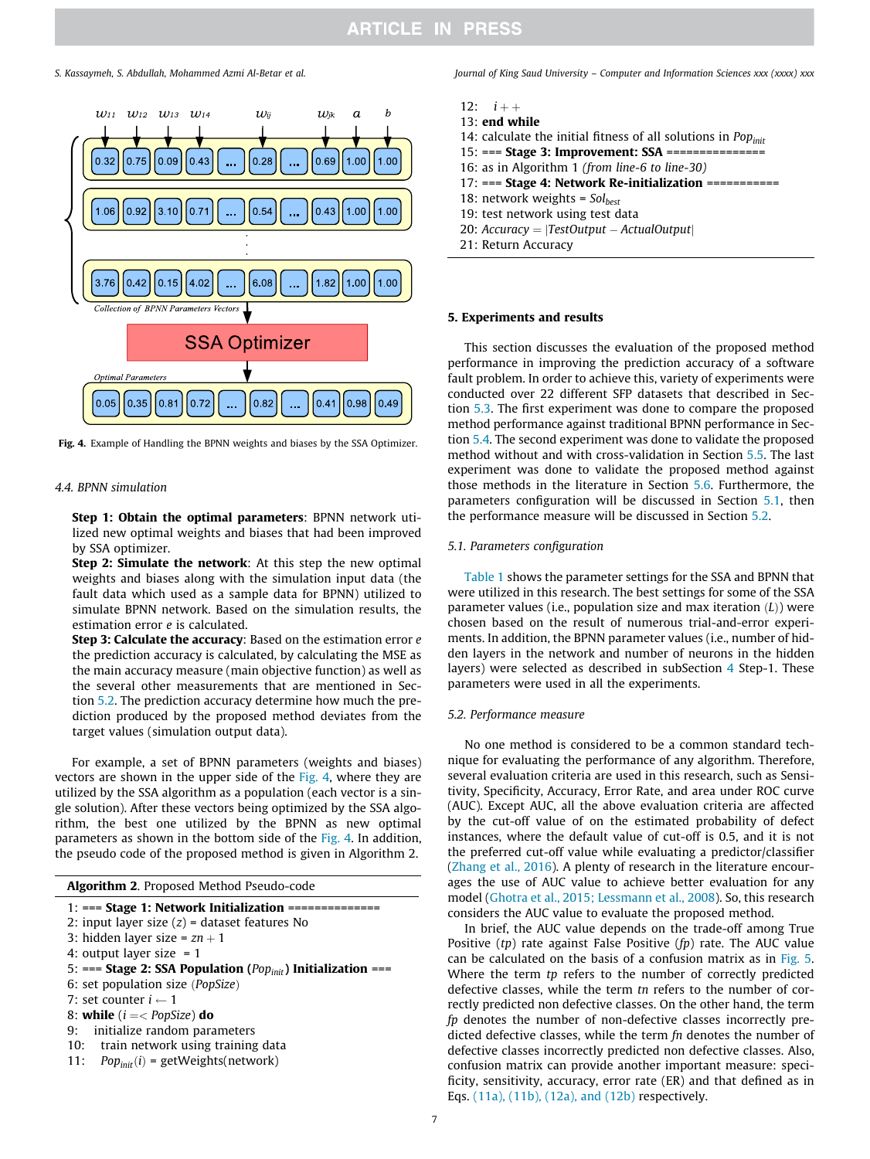

Fig. 4. Example of Handling the BPNN weights and biases by the SSA Optimizer.

#### *4.4. BPNN simulation*

Step 1: Obtain the optimal parameters: BPNN network utilized new optimal weights and biases that had been improved by SSA optimizer.

Step 2: Simulate the network: At this step the new optimal weights and biases along with the simulation input data (the fault data which used as a sample data for BPNN) utilized to simulate BPNN network. Based on the simulation results, the estimation error *e* is calculated.

Step 3: Calculate the accuracy: Based on the estimation error *e* the prediction accuracy is calculated, by calculating the MSE as the main accuracy measure (main objective function) as well as the several other measurements that are mentioned in Section 5.2. The prediction accuracy determine how much the prediction produced by the proposed method deviates from the target values (simulation output data).

For example, a set of BPNN parameters (weights and biases) vectors are shown in the upper side of the Fig. 4, where they are utilized by the SSA algorithm as a population (each vector is a single solution). After these vectors being optimized by the SSA algorithm, the best one utilized by the BPNN as new optimal parameters as shown in the bottom side of the Fig. 4. In addition, the pseudo code of the proposed method is given in Algorithm 2.

Algorithm 2. Proposed Method Pseudo-code

| 1: === Stage 1: Network Initialization ===============          |
|-----------------------------------------------------------------|
| 2: input layer size $(z)$ = dataset features No                 |
| 3: hidden layer size = $zn + 1$                                 |
| 4: output layer size $= 1$                                      |
| 5: === Stage 2: SSA Population ( $Popinit$ ) Initialization === |
| 6: set population size ( <i>PopSize</i> )                       |
| 7: set counter $i \leftarrow 1$                                 |
| 8: while $(i = PopSize)$ do                                     |
| 9: initialize random parameters                                 |

- 10: train network using training data
- 11:  $Pop<sub>init</sub>(i) = getWeights(network)$

*S. Kassaymeh, S. Abdullah, Mohammed Azmi Al-Betar et al. Journal of King Saud University – Computer and Information Sciences xxx (xxxx) xxx*

- 12:  $i + +$
- 13: end while
- 14: calculate the initial fitness of all solutions in *Popinit*
- 15: === Stage 3: Improvement: SSA ===============
- 16: as in Algorithm 1 *(from line-6 to line-30)*
- 17: === Stage 4: Network Re-initialization ===========
- 18: network weights = *Solbest*
- 19: test network using test data
- 20: *Accuracy* ¼ j*TestOutput ActualOutput*j
- 21: Return Accuracy

#### 5. Experiments and results

This section discusses the evaluation of the proposed method performance in improving the prediction accuracy of a software fault problem. In order to achieve this, variety of experiments were conducted over 22 different SFP datasets that described in Section 5.3. The first experiment was done to compare the proposed method performance against traditional BPNN performance in Section 5.4. The second experiment was done to validate the proposed method without and with cross-validation in Section 5.5. The last experiment was done to validate the proposed method against those methods in the literature in Section 5.6. Furthermore, the parameters configuration will be discussed in Section 5.1, then the performance measure will be discussed in Section 5.2.

#### *5.1. Parameters configuration*

Table 1 shows the parameter settings for the SSA and BPNN that were utilized in this research. The best settings for some of the SSA parameter values (i.e., population size and max iteration  $(L)$ ) were chosen based on the result of numerous trial-and-error experiments. In addition, the BPNN parameter values (i.e., number of hidden layers in the network and number of neurons in the hidden layers) were selected as described in subSection 4 Step-1. These parameters were used in all the experiments.

#### *5.2. Performance measure*

No one method is considered to be a common standard technique for evaluating the performance of any algorithm. Therefore, several evaluation criteria are used in this research, such as Sensitivity, Specificity, Accuracy, Error Rate, and area under ROC curve (AUC). Except AUC, all the above evaluation criteria are affected by the cut-off value of on the estimated probability of defect instances, where the default value of cut-off is 0.5, and it is not the preferred cut-off value while evaluating a predictor/classifier (Zhang et al., 2016). A plenty of research in the literature encourages the use of AUC value to achieve better evaluation for any model (Ghotra et al., 2015; Lessmann et al., 2008). So, this research considers the AUC value to evaluate the proposed method.

In brief, the AUC value depends on the trade-off among True Positive (*tp*) rate against False Positive (*fp*) rate. The AUC value can be calculated on the basis of a confusion matrix as in Fig. 5. Where the term *tp* refers to the number of correctly predicted defective classes, while the term *tn* refers to the number of correctly predicted non defective classes. On the other hand, the term *fp* denotes the number of non-defective classes incorrectly predicted defective classes, while the term *fn* denotes the number of defective classes incorrectly predicted non defective classes. Also, confusion matrix can provide another important measure: specificity, sensitivity, accuracy, error rate (ER) and that defined as in Eqs. (11a), (11b), (12a), and (12b) respectively.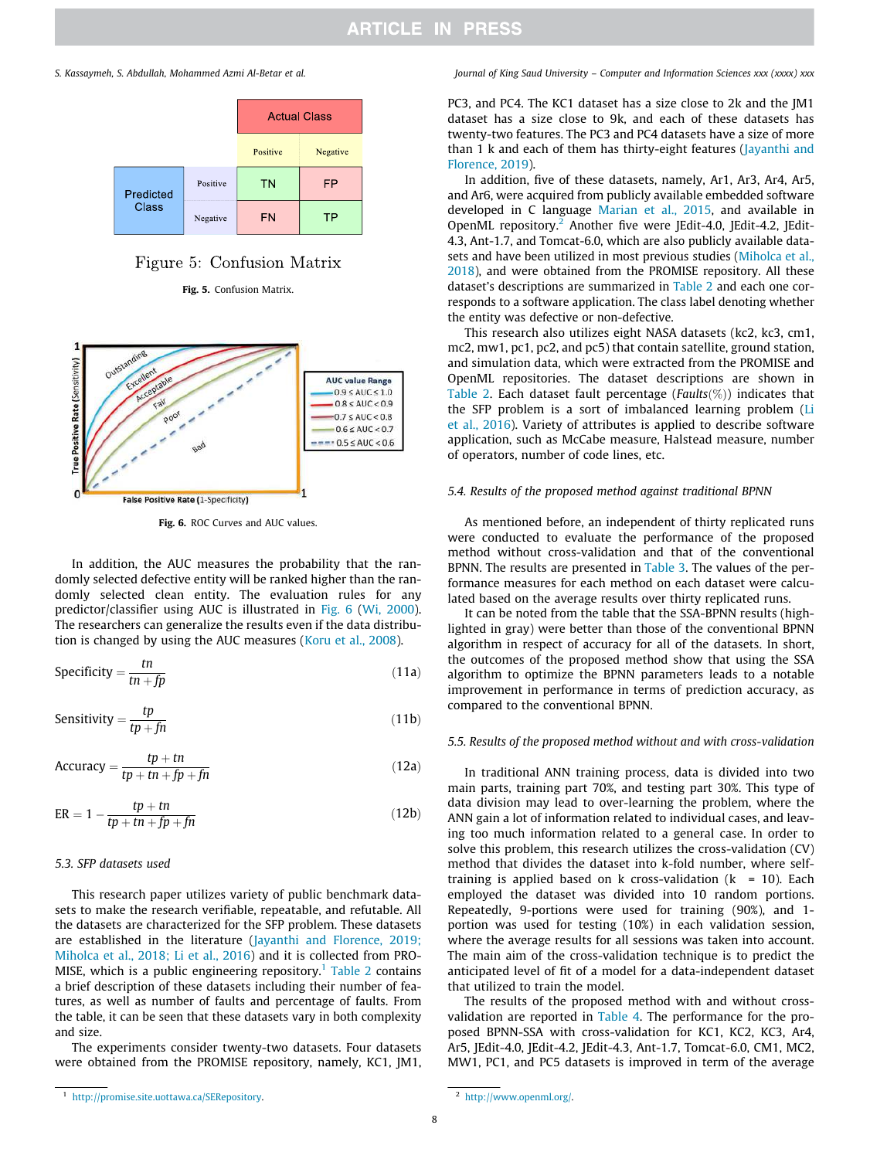

## Figure 5: Confusion Matrix

Fig. 5. Confusion Matrix.



Fig. 6. ROC Curves and AUC values.

In addition, the AUC measures the probability that the randomly selected defective entity will be ranked higher than the randomly selected clean entity. The evaluation rules for any predictor/classifier using AUC is illustrated in Fig. 6 (Wi, 2000). The researchers can generalize the results even if the data distribution is changed by using the AUC measures (Koru et al., 2008).

$$
Specificity = \frac{tn}{tn + fp} \tag{11a}
$$

Sensitivity = 
$$
\frac{tp}{tp + fn}
$$
 (11b)

$$
Accuracy = \frac{tp + tn}{tp + tn + fp + fn}
$$
 (12a)

$$
ER = 1 - \frac{tp + tn}{tp + tn + fp + fn}
$$
 (12b)

#### *5.3. SFP datasets used*

This research paper utilizes variety of public benchmark datasets to make the research verifiable, repeatable, and refutable. All the datasets are characterized for the SFP problem. These datasets are established in the literature (Jayanthi and Florence, 2019; Miholca et al., 2018; Li et al., 2016) and it is collected from PRO-MISE, which is a public engineering repository.<sup>1</sup> Table 2 contains a brief description of these datasets including their number of features, as well as number of faults and percentage of faults. From the table, it can be seen that these datasets vary in both complexity and size.

The experiments consider twenty-two datasets. Four datasets were obtained from the PROMISE repository, namely, KC1, JM1,

#### *S. Kassaymeh, S. Abdullah, Mohammed Azmi Al-Betar et al. Journal of King Saud University – Computer and Information Sciences xxx (xxxx) xxx*

PC3, and PC4. The KC1 dataset has a size close to 2k and the JM1 dataset has a size close to 9k, and each of these datasets has twenty-two features. The PC3 and PC4 datasets have a size of more than 1 k and each of them has thirty-eight features (Jayanthi and Florence, 2019).

In addition, five of these datasets, namely, Ar1, Ar3, Ar4, Ar5, and Ar6, were acquired from publicly available embedded software developed in C language Marian et al., 2015, and available in OpenML repository.<sup>2</sup> Another five were JEdit-4.0, JEdit-4.2, JEdit-4.3, Ant-1.7, and Tomcat-6.0, which are also publicly available datasets and have been utilized in most previous studies (Miholca et al., 2018), and were obtained from the PROMISE repository. All these dataset's descriptions are summarized in Table 2 and each one corresponds to a software application. The class label denoting whether the entity was defective or non-defective.

This research also utilizes eight NASA datasets (kc2, kc3, cm1, mc2, mw1, pc1, pc2, and pc5) that contain satellite, ground station, and simulation data, which were extracted from the PROMISE and OpenML repositories. The dataset descriptions are shown in Table 2. Each dataset fault percentage (*Faults*(%)) indicates that the SFP problem is a sort of imbalanced learning problem (Li et al., 2016). Variety of attributes is applied to describe software application, such as McCabe measure, Halstead measure, number of operators, number of code lines, etc.

### *5.4. Results of the proposed method against traditional BPNN*

As mentioned before, an independent of thirty replicated runs were conducted to evaluate the performance of the proposed method without cross-validation and that of the conventional BPNN. The results are presented in Table 3. The values of the performance measures for each method on each dataset were calculated based on the average results over thirty replicated runs.

It can be noted from the table that the SSA-BPNN results (highlighted in gray) were better than those of the conventional BPNN algorithm in respect of accuracy for all of the datasets. In short, the outcomes of the proposed method show that using the SSA algorithm to optimize the BPNN parameters leads to a notable improvement in performance in terms of prediction accuracy, as compared to the conventional BPNN.

#### *5.5. Results of the proposed method without and with cross-validation*

In traditional ANN training process, data is divided into two main parts, training part 70%, and testing part 30%. This type of data division may lead to over-learning the problem, where the ANN gain a lot of information related to individual cases, and leaving too much information related to a general case. In order to solve this problem, this research utilizes the cross-validation (CV) method that divides the dataset into k-fold number, where selftraining is applied based on k cross-validation ( $k = 10$ ). Each employed the dataset was divided into 10 random portions. Repeatedly, 9-portions were used for training (90%), and 1 portion was used for testing (10%) in each validation session, where the average results for all sessions was taken into account. The main aim of the cross-validation technique is to predict the anticipated level of fit of a model for a data-independent dataset that utilized to train the model.

The results of the proposed method with and without crossvalidation are reported in Table 4. The performance for the proposed BPNN-SSA with cross-validation for KC1, KC2, KC3, Ar4, Ar5, JEdit-4.0, JEdit-4.2, JEdit-4.3, Ant-1.7, Tomcat-6.0, CM1, MC2, MW1, PC1, and PC5 datasets is improved in term of the average

<sup>2</sup> http://www.openml.org/.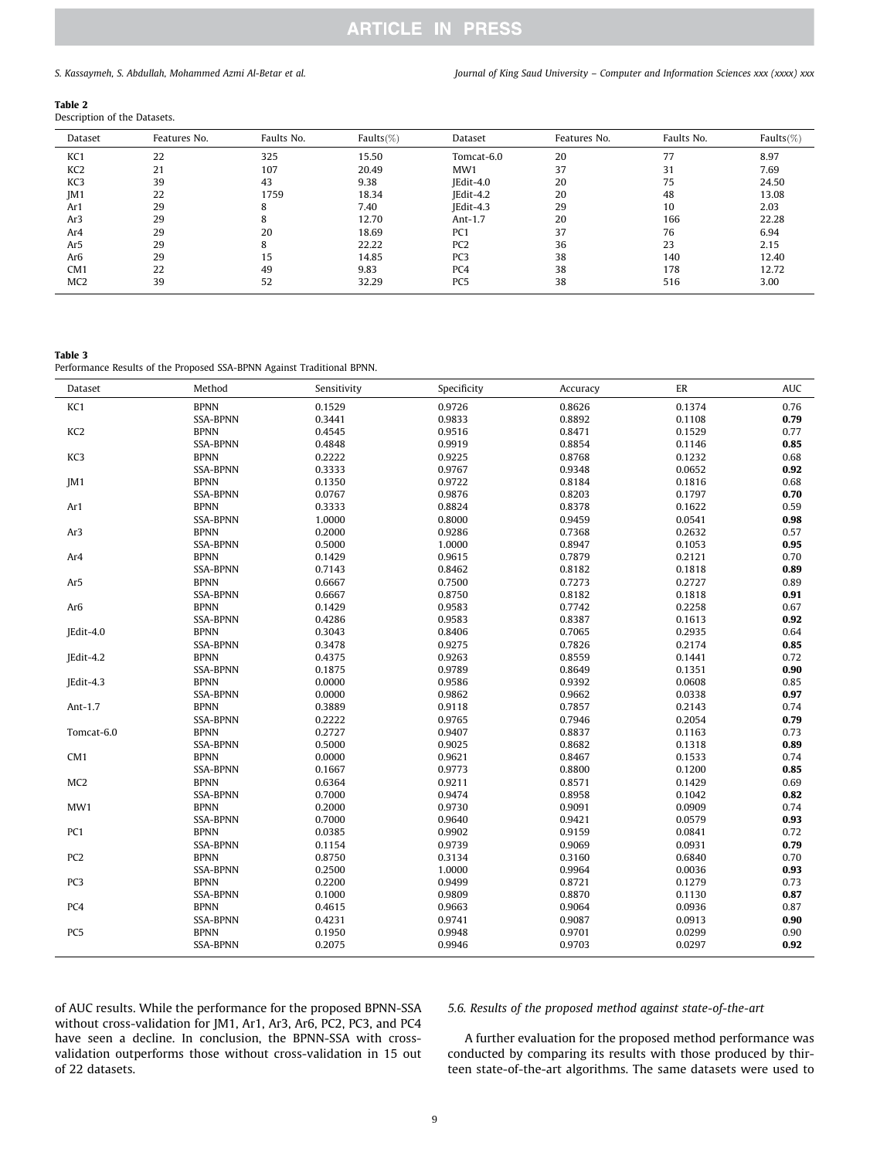*S. Kassaymeh, S. Abdullah, Mohammed Azmi Al-Betar et al. Journal of King Saud University – Computer and Information Sciences xxx (xxxx) xxx*

#### Table 2

Description of the Datasets.

| Dataset         | Features No. | Faults No. | Faults $(\%)$ | Dataset         | Features No. | Faults No. | Faults $(\%)$ |
|-----------------|--------------|------------|---------------|-----------------|--------------|------------|---------------|
| KC <sub>1</sub> | 22           | 325        | 15.50         | Tomcat-6.0      | 20           | 77         | 8.97          |
| KC <sub>2</sub> | 21           | 107        | 20.49         | MW1             | 37           | 31         | 7.69          |
| KC3             | 39           | 43         | 9.38          | IEdit-4.0       | 20           | 75         | 24.50         |
| IM1             | 22           | 1759       | 18.34         | IEdit-4.2       | 20           | 48         | 13.08         |
| Ar1             | 29           | 8          | 7.40          | $Edi-4.3$       | 29           | 10         | 2.03          |
| Ar3             | 29           | 8          | 12.70         | Ant- $1.7$      | 20           | 166        | 22.28         |
| Ar4             | 29           | 20         | 18.69         | PC <sub>1</sub> | 37           | 76         | 6.94          |
| Ar5             | 29           | 8          | 22.22         | PC <sub>2</sub> | 36           | 23         | 2.15          |
| Ar <sub>6</sub> | 29           | 15         | 14.85         | PC <sub>3</sub> | 38           | 140        | 12.40         |
| CM1             | 22           | 49         | 9.83          | PC4             | 38           | 178        | 12.72         |
| MC <sub>2</sub> | 39           | 52         | 32.29         | PC <sub>5</sub> | 38           | 516        | 3.00          |
|                 |              |            |               |                 |              |            |               |

Table 3

Performance Results of the Proposed SSA-BPNN Against Traditional BPNN.

| Dataset         | Method          | Sensitivity | Specificity | Accuracy | ER     | <b>AUC</b> |
|-----------------|-----------------|-------------|-------------|----------|--------|------------|
| KC1             | <b>BPNN</b>     | 0.1529      | 0.9726      | 0.8626   | 0.1374 | 0.76       |
|                 | <b>SSA-BPNN</b> | 0.3441      | 0.9833      | 0.8892   | 0.1108 | 0.79       |
| KC <sub>2</sub> | <b>BPNN</b>     | 0.4545      | 0.9516      | 0.8471   | 0.1529 | 0.77       |
|                 | <b>SSA-BPNN</b> | 0.4848      | 0.9919      | 0.8854   | 0.1146 | 0.85       |
| KC3             | <b>BPNN</b>     | 0.2222      | 0.9225      | 0.8768   | 0.1232 | 0.68       |
|                 | <b>SSA-BPNN</b> | 0.3333      | 0.9767      | 0.9348   | 0.0652 | 0.92       |
| JM1             | <b>BPNN</b>     | 0.1350      | 0.9722      | 0.8184   | 0.1816 | 0.68       |
|                 | <b>SSA-BPNN</b> | 0.0767      | 0.9876      | 0.8203   | 0.1797 | 0.70       |
| Ar1             | <b>BPNN</b>     | 0.3333      | 0.8824      | 0.8378   | 0.1622 | 0.59       |
|                 | SSA-BPNN        | 1.0000      | 0.8000      | 0.9459   | 0.0541 | 0.98       |
| Ar <sub>3</sub> | <b>BPNN</b>     | 0.2000      | 0.9286      | 0.7368   | 0.2632 | 0.57       |
|                 | <b>SSA-BPNN</b> | 0.5000      | 1.0000      | 0.8947   | 0.1053 | 0.95       |
| Ar4             | <b>BPNN</b>     | 0.1429      | 0.9615      | 0.7879   | 0.2121 | 0.70       |
|                 | <b>SSA-BPNN</b> | 0.7143      | 0.8462      | 0.8182   | 0.1818 | 0.89       |
| Ar5             | <b>BPNN</b>     | 0.6667      | 0.7500      | 0.7273   | 0.2727 | 0.89       |
|                 | <b>SSA-BPNN</b> | 0.6667      | 0.8750      | 0.8182   | 0.1818 | 0.91       |
| Ar <sub>6</sub> | <b>BPNN</b>     | 0.1429      | 0.9583      | 0.7742   | 0.2258 | 0.67       |
|                 | <b>SSA-BPNN</b> | 0.4286      | 0.9583      | 0.8387   | 0.1613 | 0.92       |
| JEdit-4.0       | <b>BPNN</b>     | 0.3043      | 0.8406      | 0.7065   | 0.2935 | 0.64       |
|                 | <b>SSA-BPNN</b> | 0.3478      | 0.9275      | 0.7826   | 0.2174 | 0.85       |
| JEdit-4.2       | <b>BPNN</b>     | 0.4375      | 0.9263      | 0.8559   | 0.1441 | 0.72       |
|                 | SSA-BPNN        | 0.1875      | 0.9789      | 0.8649   | 0.1351 | 0.90       |
| JEdit-4.3       | <b>BPNN</b>     | 0.0000      | 0.9586      | 0.9392   | 0.0608 | 0.85       |
|                 | <b>SSA-BPNN</b> | 0.0000      | 0.9862      | 0.9662   | 0.0338 | 0.97       |
| Ant- $1.7$      | <b>BPNN</b>     | 0.3889      | 0.9118      | 0.7857   | 0.2143 | 0.74       |
|                 | <b>SSA-BPNN</b> | 0.2222      | 0.9765      | 0.7946   | 0.2054 | 0.79       |
| Tomcat-6.0      | <b>BPNN</b>     | 0.2727      | 0.9407      | 0.8837   | 0.1163 | 0.73       |
|                 | <b>SSA-BPNN</b> | 0.5000      | 0.9025      | 0.8682   | 0.1318 | 0.89       |
| CM1             | <b>BPNN</b>     | 0.0000      | 0.9621      | 0.8467   | 0.1533 | 0.74       |
|                 | <b>SSA-BPNN</b> | 0.1667      | 0.9773      | 0.8800   | 0.1200 | 0.85       |
| MC <sub>2</sub> | <b>BPNN</b>     | 0.6364      | 0.9211      | 0.8571   | 0.1429 | 0.69       |
|                 | <b>SSA-BPNN</b> | 0.7000      | 0.9474      | 0.8958   | 0.1042 | 0.82       |
| MW1             | <b>BPNN</b>     | 0.2000      | 0.9730      | 0.9091   | 0.0909 | 0.74       |
|                 | <b>SSA-BPNN</b> | 0.7000      | 0.9640      | 0.9421   | 0.0579 | 0.93       |
| PC1             | <b>BPNN</b>     | 0.0385      | 0.9902      | 0.9159   | 0.0841 | 0.72       |
|                 | <b>SSA-BPNN</b> | 0.1154      | 0.9739      | 0.9069   | 0.0931 | 0.79       |
| PC <sub>2</sub> | <b>BPNN</b>     | 0.8750      | 0.3134      | 0.3160   | 0.6840 | 0.70       |
|                 | <b>SSA-BPNN</b> | 0.2500      | 1.0000      | 0.9964   | 0.0036 | 0.93       |
| PC3             | <b>BPNN</b>     | 0.2200      | 0.9499      | 0.8721   | 0.1279 | 0.73       |
|                 | <b>SSA-BPNN</b> | 0.1000      | 0.9809      | 0.8870   | 0.1130 | 0.87       |
| PC4             | <b>BPNN</b>     | 0.4615      | 0.9663      | 0.9064   | 0.0936 | 0.87       |
|                 | <b>SSA-BPNN</b> | 0.4231      | 0.9741      | 0.9087   | 0.0913 | 0.90       |
| PC <sub>5</sub> | <b>BPNN</b>     | 0.1950      | 0.9948      | 0.9701   | 0.0299 | 0.90       |
|                 | <b>SSA-BPNN</b> | 0.2075      | 0.9946      | 0.9703   | 0.0297 | 0.92       |

of AUC results. While the performance for the proposed BPNN-SSA without cross-validation for JM1, Ar1, Ar3, Ar6, PC2, PC3, and PC4 have seen a decline. In conclusion, the BPNN-SSA with crossvalidation outperforms those without cross-validation in 15 out of 22 datasets.

### *5.6. Results of the proposed method against state-of-the-art*

A further evaluation for the proposed method performance was conducted by comparing its results with those produced by thirteen state-of-the-art algorithms. The same datasets were used to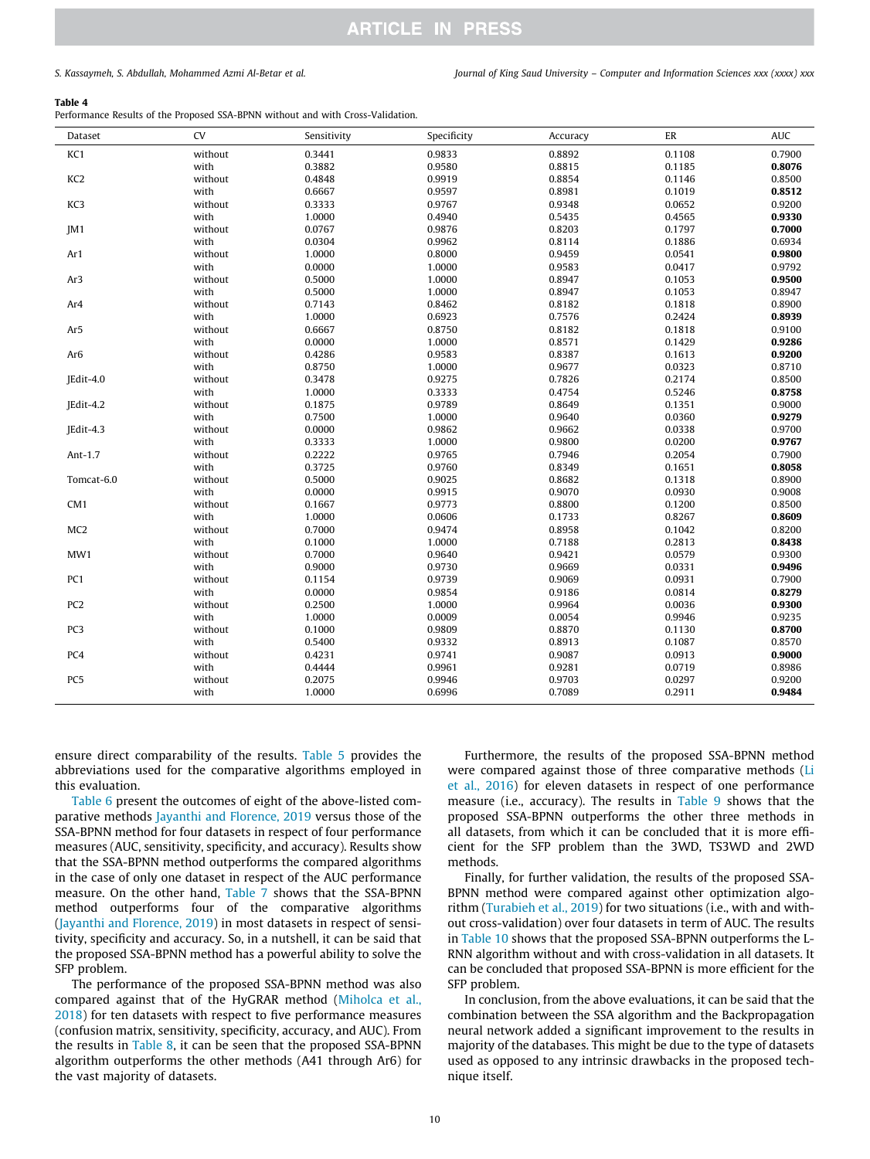*S. Kassaymeh, S. Abdullah, Mohammed Azmi Al-Betar et al. Journal of King Saud University – Computer and Information Sciences xxx (xxxx) xxx*

#### Table 4

Performance Results of the Proposed SSA-BPNN without and with Cross-Validation.

| Dataset         | CV      | Sensitivity | Specificity | Accuracy | ER     | <b>AUC</b> |
|-----------------|---------|-------------|-------------|----------|--------|------------|
| KC1             | without | 0.3441      | 0.9833      | 0.8892   | 0.1108 | 0.7900     |
|                 | with    | 0.3882      | 0.9580      | 0.8815   | 0.1185 | 0.8076     |
| KC <sub>2</sub> | without | 0.4848      | 0.9919      | 0.8854   | 0.1146 | 0.8500     |
|                 | with    | 0.6667      | 0.9597      | 0.8981   | 0.1019 | 0.8512     |
| KC3             | without | 0.3333      | 0.9767      | 0.9348   | 0.0652 | 0.9200     |
|                 | with    | 1.0000      | 0.4940      | 0.5435   | 0.4565 | 0.9330     |
| JM1             | without | 0.0767      | 0.9876      | 0.8203   | 0.1797 | 0.7000     |
|                 | with    | 0.0304      | 0.9962      | 0.8114   | 0.1886 | 0.6934     |
| Ar1             | without | 1.0000      | 0.8000      | 0.9459   | 0.0541 | 0.9800     |
|                 | with    | 0.0000      | 1.0000      | 0.9583   | 0.0417 | 0.9792     |
| Ar <sub>3</sub> | without | 0.5000      | 1.0000      | 0.8947   | 0.1053 | 0.9500     |
|                 | with    | 0.5000      | 1.0000      | 0.8947   | 0.1053 | 0.8947     |
| Ar4             | without | 0.7143      | 0.8462      | 0.8182   | 0.1818 | 0.8900     |
|                 | with    | 1.0000      | 0.6923      | 0.7576   | 0.2424 | 0.8939     |
| Ar5             | without | 0.6667      | 0.8750      | 0.8182   | 0.1818 | 0.9100     |
|                 | with    | 0.0000      | 1.0000      | 0.8571   | 0.1429 | 0.9286     |
| Ar <sub>6</sub> | without | 0.4286      | 0.9583      | 0.8387   | 0.1613 | 0.9200     |
|                 | with    | 0.8750      | 1.0000      | 0.9677   | 0.0323 | 0.8710     |
| JEdit-4.0       | without | 0.3478      | 0.9275      | 0.7826   | 0.2174 | 0.8500     |
|                 | with    | 1.0000      | 0.3333      | 0.4754   | 0.5246 | 0.8758     |
| JEdit-4.2       | without | 0.1875      | 0.9789      | 0.8649   | 0.1351 | 0.9000     |
|                 | with    | 0.7500      | 1.0000      | 0.9640   | 0.0360 | 0.9279     |
| JEdit-4.3       | without | 0.0000      | 0.9862      | 0.9662   | 0.0338 | 0.9700     |
|                 | with    | 0.3333      | 1.0000      | 0.9800   | 0.0200 | 0.9767     |
| Ant-1.7         | without | 0.2222      | 0.9765      | 0.7946   | 0.2054 | 0.7900     |
|                 | with    | 0.3725      | 0.9760      | 0.8349   | 0.1651 | 0.8058     |
| Tomcat-6.0      | without | 0.5000      | 0.9025      | 0.8682   | 0.1318 | 0.8900     |
|                 | with    | 0.0000      | 0.9915      | 0.9070   | 0.0930 | 0.9008     |
| CM <sub>1</sub> | without | 0.1667      | 0.9773      | 0.8800   | 0.1200 | 0.8500     |
|                 | with    | 1.0000      | 0.0606      | 0.1733   | 0.8267 | 0.8609     |
| MC <sub>2</sub> | without | 0.7000      | 0.9474      | 0.8958   | 0.1042 | 0.8200     |
|                 | with    | 0.1000      | 1.0000      | 0.7188   | 0.2813 | 0.8438     |
| MW1             | without | 0.7000      | 0.9640      | 0.9421   | 0.0579 | 0.9300     |
|                 | with    | 0.9000      | 0.9730      | 0.9669   | 0.0331 | 0.9496     |
| PC1             | without | 0.1154      | 0.9739      | 0.9069   | 0.0931 | 0.7900     |
|                 | with    | 0.0000      | 0.9854      | 0.9186   | 0.0814 | 0.8279     |
| PC <sub>2</sub> | without | 0.2500      | 1.0000      | 0.9964   | 0.0036 | 0.9300     |
|                 | with    | 1.0000      | 0.0009      | 0.0054   | 0.9946 | 0.9235     |
| PC3             | without | 0.1000      | 0.9809      | 0.8870   | 0.1130 | 0.8700     |
|                 | with    | 0.5400      | 0.9332      | 0.8913   | 0.1087 | 0.8570     |
| PC4             | without | 0.4231      | 0.9741      | 0.9087   | 0.0913 | 0.9000     |
|                 | with    | 0.4444      | 0.9961      | 0.9281   | 0.0719 | 0.8986     |
| PC <sub>5</sub> | without | 0.2075      | 0.9946      | 0.9703   | 0.0297 | 0.9200     |
|                 | with    | 1.0000      | 0.6996      | 0.7089   | 0.2911 | 0.9484     |
|                 |         |             |             |          |        |            |

ensure direct comparability of the results. Table 5 provides the abbreviations used for the comparative algorithms employed in this evaluation.

Table 6 present the outcomes of eight of the above-listed comparative methods Jayanthi and Florence, 2019 versus those of the SSA-BPNN method for four datasets in respect of four performance measures (AUC, sensitivity, specificity, and accuracy). Results show that the SSA-BPNN method outperforms the compared algorithms in the case of only one dataset in respect of the AUC performance measure. On the other hand, Table 7 shows that the SSA-BPNN method outperforms four of the comparative algorithms (Jayanthi and Florence, 2019) in most datasets in respect of sensitivity, specificity and accuracy. So, in a nutshell, it can be said that the proposed SSA-BPNN method has a powerful ability to solve the SFP problem.

The performance of the proposed SSA-BPNN method was also compared against that of the HyGRAR method (Miholca et al., 2018) for ten datasets with respect to five performance measures (confusion matrix, sensitivity, specificity, accuracy, and AUC). From the results in Table 8, it can be seen that the proposed SSA-BPNN algorithm outperforms the other methods (A41 through Ar6) for the vast majority of datasets.

Furthermore, the results of the proposed SSA-BPNN method were compared against those of three comparative methods (Li et al., 2016) for eleven datasets in respect of one performance measure (i.e., accuracy). The results in Table 9 shows that the proposed SSA-BPNN outperforms the other three methods in all datasets, from which it can be concluded that it is more efficient for the SFP problem than the 3WD, TS3WD and 2WD methods.

Finally, for further validation, the results of the proposed SSA-BPNN method were compared against other optimization algorithm (Turabieh et al., 2019) for two situations (i.e., with and without cross-validation) over four datasets in term of AUC. The results in Table 10 shows that the proposed SSA-BPNN outperforms the L-RNN algorithm without and with cross-validation in all datasets. It can be concluded that proposed SSA-BPNN is more efficient for the SFP problem.

In conclusion, from the above evaluations, it can be said that the combination between the SSA algorithm and the Backpropagation neural network added a significant improvement to the results in majority of the databases. This might be due to the type of datasets used as opposed to any intrinsic drawbacks in the proposed technique itself.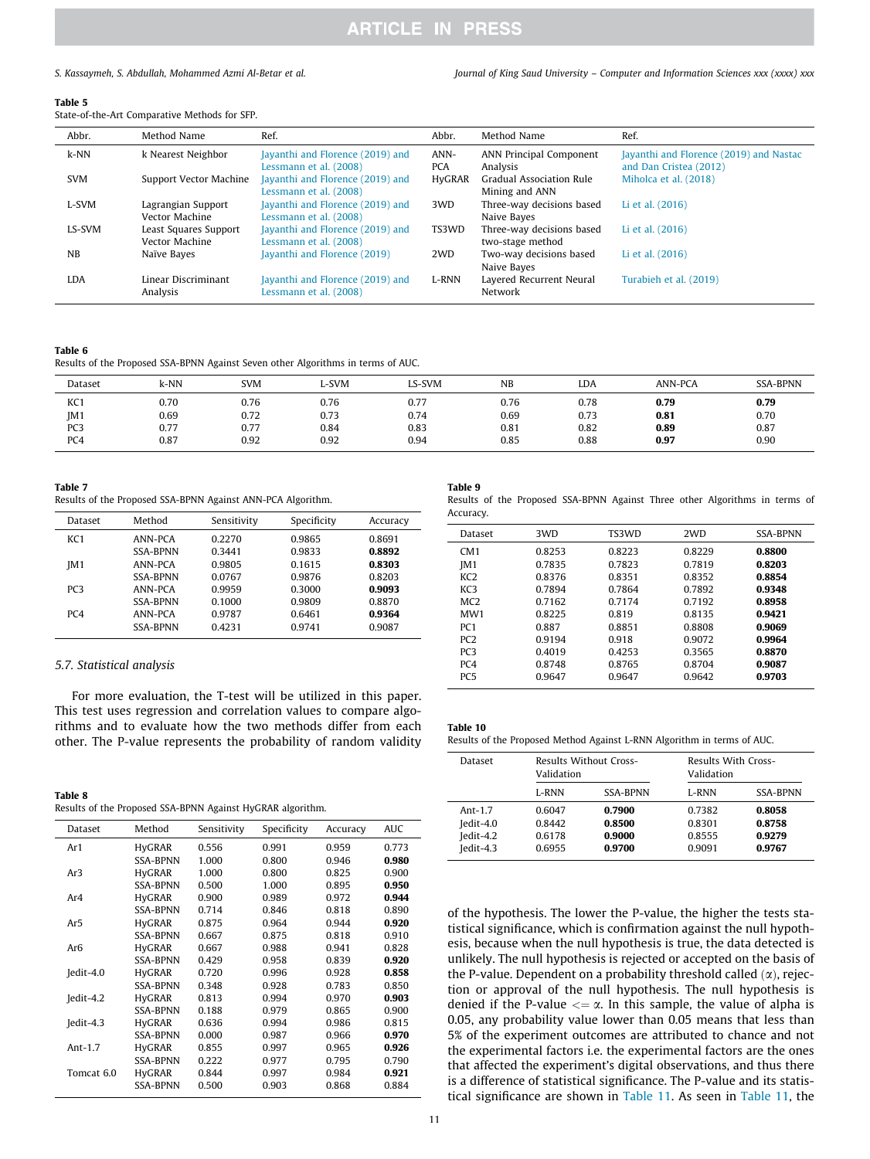*S. Kassaymeh, S. Abdullah, Mohammed Azmi Al-Betar et al. Journal of King Saud University – Computer and Information Sciences xxx (xxxx) xxx*

#### Table 5

State-of-the-Art Comparative Methods for SFP.

| Abbr.         | Method Name                             | Ref.                                                       | Abbr.              | Method Name                                   | Ref.                                                              |
|---------------|-----------------------------------------|------------------------------------------------------------|--------------------|-----------------------------------------------|-------------------------------------------------------------------|
| $k-NN$        | k Nearest Neighbor                      | Jayanthi and Florence (2019) and<br>Lessmann et al. (2008) | ANN-<br><b>PCA</b> | ANN Principal Component<br>Analysis           | Jayanthi and Florence (2019) and Nastac<br>and Dan Cristea (2012) |
| <b>SVM</b>    | Support Vector Machine                  | Jayanthi and Florence (2019) and<br>Lessmann et al. (2008) | HyGRAR             | Gradual Association Rule<br>Mining and ANN    | Miholca et al. (2018)                                             |
| L-SVM         | Lagrangian Support<br>Vector Machine    | Jayanthi and Florence (2019) and<br>Lessmann et al. (2008) | 3WD                | Three-way decisions based<br>Naive Bayes      | Li et al. (2016)                                                  |
| <b>LS-SVM</b> | Least Squares Support<br>Vector Machine | Jayanthi and Florence (2019) and<br>Lessmann et al. (2008) | TS3WD              | Three-way decisions based<br>two-stage method | Li et al. (2016)                                                  |
| NB            | Naïve Baves                             | Jayanthi and Florence (2019)                               | 2WD                | Two-way decisions based<br>Naive Bayes        | Li et al. (2016)                                                  |
| LDA           | Linear Discriminant<br>Analysis         | Jayanthi and Florence (2019) and<br>Lessmann et al. (2008) | L-RNN              | Layered Recurrent Neural<br>Network           | Turabieh et al. (2019)                                            |

#### Table 6

Results of the Proposed SSA-BPNN Against Seven other Algorithms in terms of AUC.

| Dataset | $k-NN$ | <b>SVM</b> | L-SVM | LS-SVM | <b>NB</b> | LDA  | <b>ANN-PCA</b> | <b>SSA-BPNN</b> |
|---------|--------|------------|-------|--------|-----------|------|----------------|-----------------|
| KC1     | 0.70   | 0.76       | 0.76  | 0.77   | 0.76      | 0.78 | 0.79           | 0.79            |
| JM1     | 0.69   | 0.72       | 0.73  | 0.74   | 0.69      | 0.73 | 0.81           | 0.70            |
| PC3     | 0.77   | 0.77       | 0.84  | 0.83   | 0.81      | 0.82 | 0.89           | 0.87            |
| PC4     | 0.87   | 0.92       | 0.92  | 0.94   | 0.85      | 0.88 | 0.97           | 0.90            |

#### Table 7

Results of the Proposed SSA-BPNN Against ANN-PCA Algorithm.

| Dataset         | Method          | Sensitivity | Specificity | Accuracy |
|-----------------|-----------------|-------------|-------------|----------|
| KC <sub>1</sub> | ANN-PCA         | 0.2270      | 0.9865      | 0.8691   |
|                 | <b>SSA-BPNN</b> | 0.3441      | 0.9833      | 0.8892   |
| JM1             | ANN-PCA         | 0.9805      | 0.1615      | 0.8303   |
|                 | <b>SSA-BPNN</b> | 0.0767      | 0.9876      | 0.8203   |
| PC3             | ANN-PCA         | 0.9959      | 0.3000      | 0.9093   |
|                 | <b>SSA-BPNN</b> | 0.1000      | 0.9809      | 0.8870   |
| PC <sub>4</sub> | ANN-PCA         | 0.9787      | 0.6461      | 0.9364   |
|                 | <b>SSA-BPNN</b> | 0.4231      | 0.9741      | 0.9087   |
|                 |                 |             |             |          |

### *5.7. Statistical analysis*

For more evaluation, the T-test will be utilized in this paper. This test uses regression and correlation values to compare algorithms and to evaluate how the two methods differ from each other. The P-value represents the probability of random validity

| Table 8                                                    |  |  |  |
|------------------------------------------------------------|--|--|--|
| Results of the Proposed SSA-BPNN Against HyGRAR algorithm. |  |  |  |

| Dataset     | Method          | Sensitivity | Specificity | Accuracy | <b>AUC</b> |
|-------------|-----------------|-------------|-------------|----------|------------|
| Ar1         | <b>HyGRAR</b>   | 0.556       | 0.991       | 0.959    | 0.773      |
|             | <b>SSA-BPNN</b> | 1.000       | 0.800       | 0.946    | 0.980      |
| Ar3         | <b>HyGRAR</b>   | 1.000       | 0.800       | 0.825    | 0.900      |
|             | <b>SSA-BPNN</b> | 0.500       | 1.000       | 0.895    | 0.950      |
| Ar4         | <b>HyGRAR</b>   | 0.900       | 0.989       | 0.972    | 0.944      |
|             | <b>SSA-BPNN</b> | 0.714       | 0.846       | 0.818    | 0.890      |
| Ar5         | <b>HyGRAR</b>   | 0.875       | 0.964       | 0.944    | 0.920      |
|             | <b>SSA-BPNN</b> | 0.667       | 0.875       | 0.818    | 0.910      |
| Ar6         | <b>HyGRAR</b>   | 0.667       | 0.988       | 0.941    | 0.828      |
|             | <b>SSA-BPNN</b> | 0.429       | 0.958       | 0.839    | 0.920      |
| $Iedit-4.0$ | <b>HyGRAR</b>   | 0.720       | 0.996       | 0.928    | 0.858      |
|             | <b>SSA-BPNN</b> | 0.348       | 0.928       | 0.783    | 0.850      |
| $Iedit-4.2$ | <b>HyGRAR</b>   | 0.813       | 0.994       | 0.970    | 0.903      |
|             | <b>SSA-BPNN</b> | 0.188       | 0.979       | 0.865    | 0.900      |
| $Iedit-4.3$ | <b>HyGRAR</b>   | 0.636       | 0.994       | 0.986    | 0.815      |
|             | <b>SSA-BPNN</b> | 0.000       | 0.987       | 0.966    | 0.970      |
| Ant- $1.7$  | <b>HyGRAR</b>   | 0.855       | 0.997       | 0.965    | 0.926      |
|             | <b>SSA-BPNN</b> | 0.222       | 0.977       | 0.795    | 0.790      |
| Tomcat 6.0  | <b>HyGRAR</b>   | 0.844       | 0.997       | 0.984    | 0.921      |
|             | <b>SSA-BPNN</b> | 0.500       | 0.903       | 0.868    | 0.884      |

### Table 9

Results of the Proposed SSA-BPNN Against Three other Algorithms in terms of Accuracy.

| Dataset          | 3WD    | TS3WD  | 2WD    | <b>SSA-BPNN</b> |
|------------------|--------|--------|--------|-----------------|
| CM1              | 0.8253 | 0.8223 | 0.8229 | 0.8800          |
| IM1              | 0.7835 | 0.7823 | 0.7819 | 0.8203          |
| KC <sub>2</sub>  | 0.8376 | 0.8351 | 0.8352 | 0.8854          |
| KC3              | 0.7894 | 0.7864 | 0.7892 | 0.9348          |
| MC <sub>2</sub>  | 0.7162 | 0.7174 | 0.7192 | 0.8958          |
| MW <sub>1</sub>  | 08225  | 0.819  | 0.8135 | 0.9421          |
| P <sub>C</sub> 1 | 0.887  | 0.8851 | 0.8808 | 0.9069          |
| PC <sub>2</sub>  | 0.9194 | 0.918  | 0.9072 | 0.9964          |
| PC3              | 0.4019 | 0.4253 | 0.3565 | 0.8870          |
| PC <sub>4</sub>  | 0.8748 | 0.8765 | 0.8704 | 0.9087          |
| PC <sub>5</sub>  | 0.9647 | 0.9647 | 0.9642 | 0.9703          |
|                  |        |        |        |                 |

| Table 10 |  |  |  |
|----------|--|--|--|
|          |  |  |  |

Results of the Proposed Method Against L-RNN Algorithm in terms of AUC.

| Dataset                                               | Results Without Cross-<br>Validation<br><b>SSA-BPNN</b><br>L-RNN |                                      | Results With Cross-<br>Validation    |                                      |  |
|-------------------------------------------------------|------------------------------------------------------------------|--------------------------------------|--------------------------------------|--------------------------------------|--|
|                                                       |                                                                  |                                      | L-RNN                                | <b>SSA-BPNN</b>                      |  |
| Ant- $1.7$<br>$Iedit-4.0$<br>$Iedit-4.2$<br>Iedit-4.3 | 0.6047<br>0.8442<br>0.6178<br>0.6955                             | 0.7900<br>0.8500<br>0.9000<br>0.9700 | 0.7382<br>0.8301<br>0.8555<br>0.9091 | 0.8058<br>0.8758<br>0.9279<br>0.9767 |  |

of the hypothesis. The lower the P-value, the higher the tests statistical significance, which is confirmation against the null hypothesis, because when the null hypothesis is true, the data detected is unlikely. The null hypothesis is rejected or accepted on the basis of the P-value. Dependent on a probability threshold called  $(\alpha)$ , rejection or approval of the null hypothesis. The null hypothesis is denied if the P-value  $\lt = \alpha$ . In this sample, the value of alpha is 0.05, any probability value lower than 0.05 means that less than 5% of the experiment outcomes are attributed to chance and not the experimental factors i.e. the experimental factors are the ones that affected the experiment's digital observations, and thus there is a difference of statistical significance. The P-value and its statistical significance are shown in Table 11. As seen in Table 11, the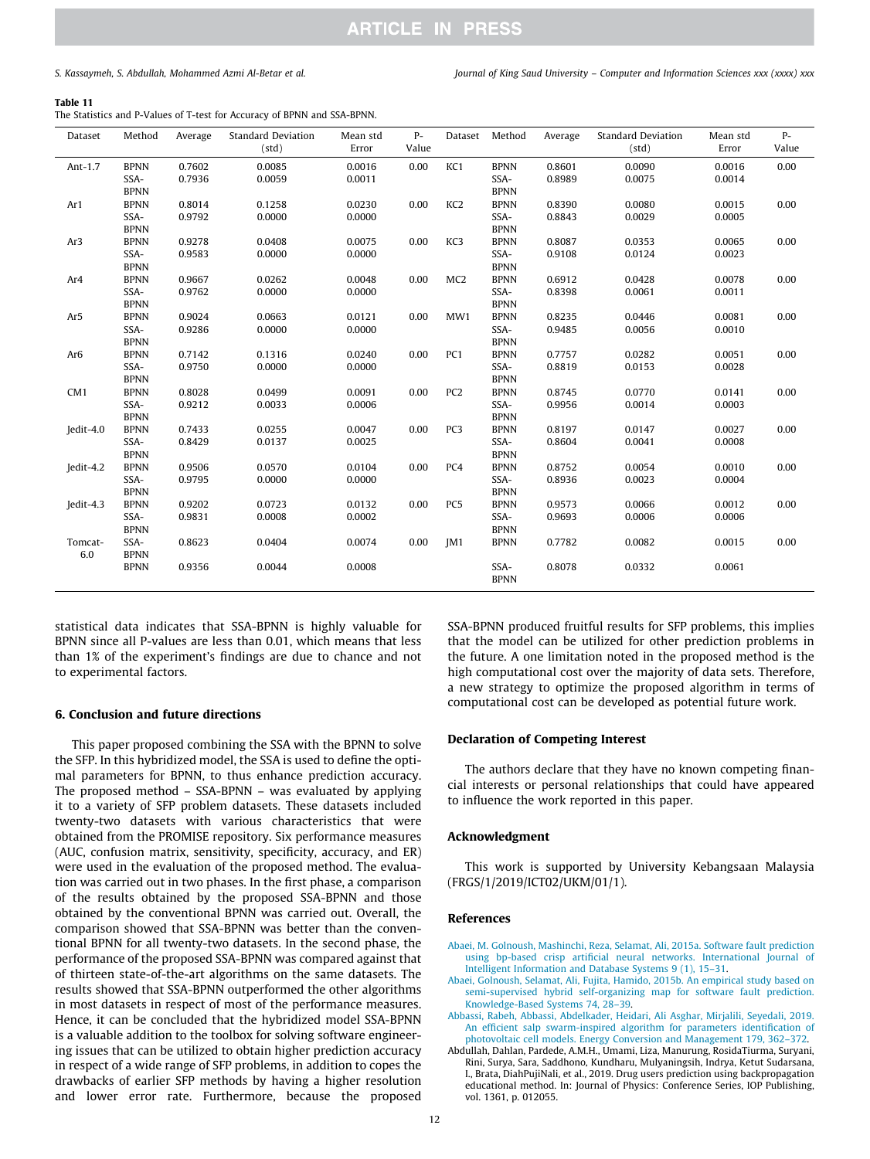*S. Kassaymeh, S. Abdullah, Mohammed Azmi Al-Betar et al. Journal of King Saud University – Computer and Information Sciences xxx (xxxx) xxx*

#### Table 11

The Statistics and P-Values of T-test for Accuracy of BPNN and SSA-BPNN.

| Dataset         | Method                             | Average          | <b>Standard Deviation</b><br>(std) | Mean std<br>Error | $P-$<br>Value | Dataset         | Method                             | Average          | <b>Standard Deviation</b><br>(std) | Mean std<br>Error | $P-$<br>Value |
|-----------------|------------------------------------|------------------|------------------------------------|-------------------|---------------|-----------------|------------------------------------|------------------|------------------------------------|-------------------|---------------|
| Ant-1.7         | <b>BPNN</b><br>SSA-<br><b>BPNN</b> | 0.7602<br>0.7936 | 0.0085<br>0.0059                   | 0.0016<br>0.0011  | 0.00          | KC1             | <b>BPNN</b><br>SSA-<br><b>BPNN</b> | 0.8601<br>0.8989 | 0.0090<br>0.0075                   | 0.0016<br>0.0014  | 0.00          |
| Ar1             | <b>BPNN</b><br>SSA-<br><b>BPNN</b> | 0.8014<br>0.9792 | 0.1258<br>0.0000                   | 0.0230<br>0.0000  | 0.00          | KC <sub>2</sub> | <b>BPNN</b><br>SSA-<br><b>BPNN</b> | 0.8390<br>0.8843 | 0.0080<br>0.0029                   | 0.0015<br>0.0005  | 0.00          |
| Ar3             | <b>BPNN</b><br>SSA-                | 0.9278<br>0.9583 | 0.0408<br>0.0000                   | 0.0075<br>0.0000  | 0.00          | KC3             | <b>BPNN</b><br>SSA-                | 0.8087<br>0.9108 | 0.0353<br>0.0124                   | 0.0065<br>0.0023  | 0.00          |
| Ar4             | <b>BPNN</b><br><b>BPNN</b><br>SSA- | 0.9667<br>0.9762 | 0.0262<br>0.0000                   | 0.0048<br>0.0000  | 0.00          | MC <sub>2</sub> | <b>BPNN</b><br><b>BPNN</b><br>SSA- | 0.6912<br>0.8398 | 0.0428<br>0.0061                   | 0.0078<br>0.0011  | 0.00          |
| Ar5             | <b>BPNN</b><br><b>BPNN</b><br>SSA- | 0.9024<br>0.9286 | 0.0663<br>0.0000                   | 0.0121<br>0.0000  | 0.00          | MW1             | <b>BPNN</b><br><b>BPNN</b><br>SSA- | 0.8235<br>0.9485 | 0.0446<br>0.0056                   | 0.0081<br>0.0010  | 0.00          |
| Ar <sub>6</sub> | <b>BPNN</b><br><b>BPNN</b><br>SSA- | 0.7142<br>0.9750 | 0.1316<br>0.0000                   | 0.0240<br>0.0000  | 0.00          | PC <sub>1</sub> | <b>BPNN</b><br><b>BPNN</b><br>SSA- | 0.7757<br>0.8819 | 0.0282<br>0.0153                   | 0.0051<br>0.0028  | 0.00          |
| CM <sub>1</sub> | <b>BPNN</b><br><b>BPNN</b><br>SSA- | 0.8028<br>0.9212 | 0.0499<br>0.0033                   | 0.0091<br>0.0006  | 0.00          | PC <sub>2</sub> | <b>BPNN</b><br><b>BPNN</b><br>SSA- | 0.8745<br>0.9956 | 0.0770<br>0.0014                   | 0.0141<br>0.0003  | 0.00          |
| Jedit-4.0       | <b>BPNN</b><br><b>BPNN</b><br>SSA- | 0.7433<br>0.8429 | 0.0255<br>0.0137                   | 0.0047<br>0.0025  | 0.00          | PC <sub>3</sub> | <b>BPNN</b><br><b>BPNN</b><br>SSA- | 0.8197<br>0.8604 | 0.0147<br>0.0041                   | 0.0027<br>0.0008  | 0.00          |
| Jedit-4.2       | <b>BPNN</b><br><b>BPNN</b><br>SSA- | 0.9506<br>0.9795 | 0.0570<br>0.0000                   | 0.0104<br>0.0000  | 0.00          | PC4             | <b>BPNN</b><br><b>BPNN</b><br>SSA- | 0.8752<br>0.8936 | 0.0054<br>0.0023                   | 0.0010<br>0.0004  | 0.00          |
| Jedit-4.3       | <b>BPNN</b><br><b>BPNN</b><br>SSA- | 0.9202<br>0.9831 | 0.0723<br>0.0008                   | 0.0132<br>0.0002  | 0.00          | PC <sub>5</sub> | <b>BPNN</b><br><b>BPNN</b><br>SSA- | 0.9573<br>0.9693 | 0.0066<br>0.0006                   | 0.0012<br>0.0006  | 0.00          |
| Tomcat-<br>6.0  | <b>BPNN</b><br>SSA-<br><b>BPNN</b> | 0.8623           | 0.0404                             | 0.0074            | 0.00          | IM <sub>1</sub> | <b>BPNN</b><br><b>BPNN</b>         | 0.7782           | 0.0082                             | 0.0015            | 0.00          |
|                 | <b>BPNN</b>                        | 0.9356           | 0.0044                             | 0.0008            |               |                 | SSA-<br><b>BPNN</b>                | 0.8078           | 0.0332                             | 0.0061            |               |

statistical data indicates that SSA-BPNN is highly valuable for BPNN since all P-values are less than 0.01, which means that less than 1% of the experiment's findings are due to chance and not to experimental factors.

#### 6. Conclusion and future directions

This paper proposed combining the SSA with the BPNN to solve the SFP. In this hybridized model, the SSA is used to define the optimal parameters for BPNN, to thus enhance prediction accuracy. The proposed method – SSA-BPNN – was evaluated by applying it to a variety of SFP problem datasets. These datasets included twenty-two datasets with various characteristics that were obtained from the PROMISE repository. Six performance measures (AUC, confusion matrix, sensitivity, specificity, accuracy, and ER) were used in the evaluation of the proposed method. The evaluation was carried out in two phases. In the first phase, a comparison of the results obtained by the proposed SSA-BPNN and those obtained by the conventional BPNN was carried out. Overall, the comparison showed that SSA-BPNN was better than the conventional BPNN for all twenty-two datasets. In the second phase, the performance of the proposed SSA-BPNN was compared against that of thirteen state-of-the-art algorithms on the same datasets. The results showed that SSA-BPNN outperformed the other algorithms in most datasets in respect of most of the performance measures. Hence, it can be concluded that the hybridized model SSA-BPNN is a valuable addition to the toolbox for solving software engineering issues that can be utilized to obtain higher prediction accuracy in respect of a wide range of SFP problems, in addition to copes the drawbacks of earlier SFP methods by having a higher resolution and lower error rate. Furthermore, because the proposed

SSA-BPNN produced fruitful results for SFP problems, this implies that the model can be utilized for other prediction problems in the future. A one limitation noted in the proposed method is the high computational cost over the majority of data sets. Therefore, a new strategy to optimize the proposed algorithm in terms of computational cost can be developed as potential future work.

#### Declaration of Competing Interest

The authors declare that they have no known competing financial interests or personal relationships that could have appeared to influence the work reported in this paper.

#### Acknowledgment

This work is supported by University Kebangsaan Malaysia (FRGS/1/2019/ICT02/UKM/01/1).

#### References

- Abaei, M. Golnoush, Mashinchi, Reza, Selamat, Ali, 2015a. Software fault prediction using bp-based crisp artificial neural networks. International Journal of Intelligent Information and Database Systems 9 (1), 15–31.
- Abaei, Golnoush, Selamat, Ali, Fujita, Hamido, 2015b. An empirical study based on semi-supervised hybrid self-organizing map for software fault prediction. Knowledge-Based Systems 74, 28–39.
- Abbassi, Rabeh, Abbassi, Abdelkader, Heidari, Ali Asghar, Mirjalili, Seyedali, 2019. An efficient salp swarm-inspired algorithm for parameters identification of photovoltaic cell models. Energy Conversion and Management 179, 362–372.
- Abdullah, Dahlan, Pardede, A.M.H., Umami, Liza, Manurung, RosidaTiurma, Suryani, Rini, Surya, Sara, Saddhono, Kundharu, Mulyaningsih, Indrya, Ketut Sudarsana, I., Brata, DiahPujiNali, et al., 2019. Drug users prediction using backpropagation educational method. In: Journal of Physics: Conference Series, IOP Publishing, vol. 1361, p. 012055.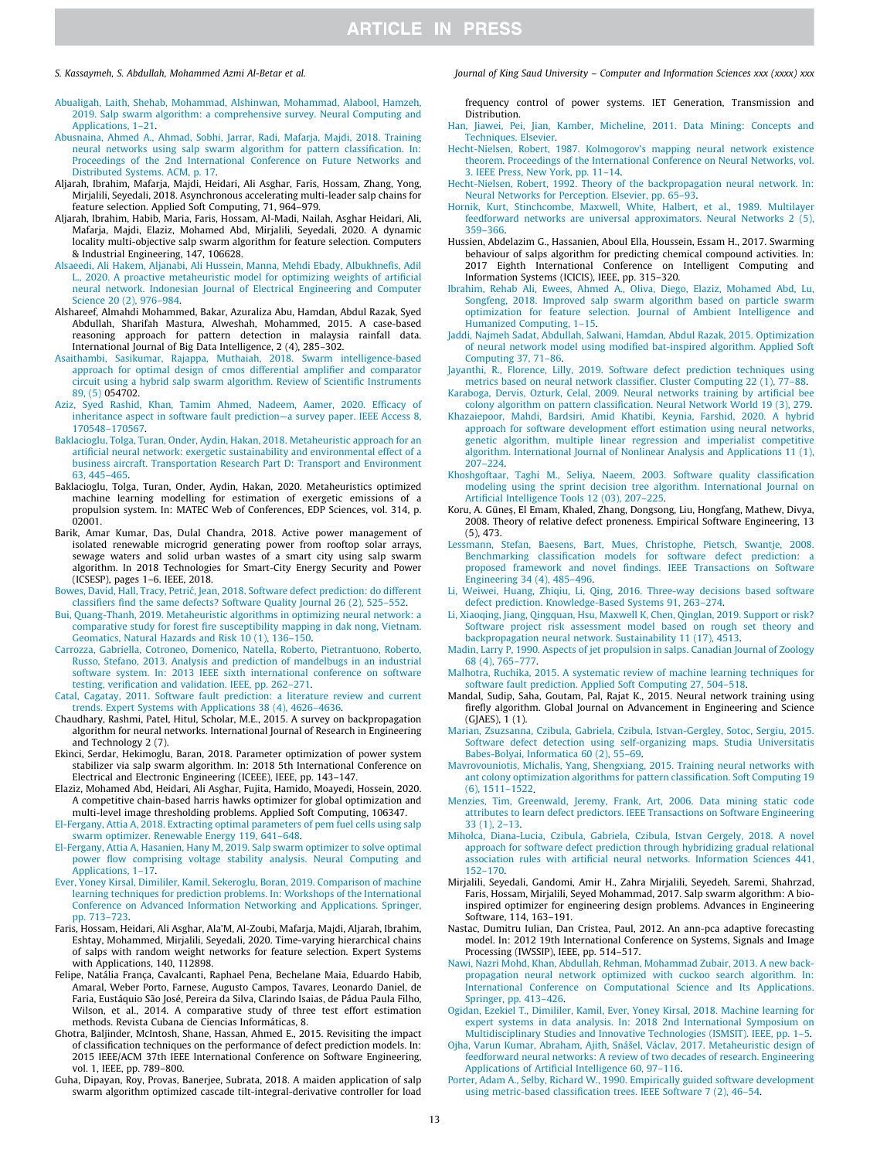- Abualigah, Laith, Shehab, Mohammad, Alshinwan, Mohammad, Alabool, Hamzeh, 2019. Salp swarm algorithm: a comprehensive survey. Neural Computing and Applications, 1–21.
- Abusnaina, Ahmed A., Ahmad, Sobhi, Jarrar, Radi, Mafarja, Majdi, 2018. Training neural networks using salp swarm algorithm for pattern classification. In: Proceedings of the 2nd International Conference on Future Networks and Distributed Systems. ACM, p. 17.
- Aljarah, Ibrahim, Mafarja, Majdi, Heidari, Ali Asghar, Faris, Hossam, Zhang, Yong, Mirjalili, Seyedali, 2018. Asynchronous accelerating multi-leader salp chains for feature selection. Applied Soft Computing, 71, 964–979.
- Aljarah, Ibrahim, Habib, Maria, Faris, Hossam, Al-Madi, Nailah, Asghar Heidari, Ali, Mafarja, Majdi, Elaziz, Mohamed Abd, Mirjalili, Seyedali, 2020. A dynamic locality multi-objective salp swarm algorithm for feature selection. Computers & Industrial Engineering, 147, 106628.
- Alsaeedi, Ali Hakem, Aljanabi, Ali Hussein, Manna, Mehdi Ebady, Albukhnefis, Adil L., 2020. A proactive metaheuristic model for optimizing weights of artificial neural network. Indonesian Journal of Electrical Engineering and Computer Science 20 (2), 976–984.
- Alshareef, Almahdi Mohammed, Bakar, Azuraliza Abu, Hamdan, Abdul Razak, Syed Abdullah, Sharifah Mastura, Alweshah, Mohammed, 2015. A case-based reasoning approach for pattern detection in malaysia rainfall data. International Journal of Big Data Intelligence, 2 (4), 285–302.
- Asaithambi, Sasikumar, Rajappa, Muthaiah, 2018. Swarm intelligence-based approach for optimal design of cmos differential amplifier and comparator circuit using a hybrid salp swarm algorithm. Review of Scientific Instruments 89, (5) 054702.
- Aziz, Syed Rashid, Khan, Tamim Ahmed, Nadeem, Aamer, 2020. Efficacy of inheritance aspect in software fault prediction—a survey paper. IEEE Access 8, 170548–170567.
- Baklacioglu, Tolga, Turan, Onder, Aydin, Hakan, 2018. Metaheuristic approach for an artificial neural network: exergetic sustainability and environmental effect of a business aircraft. Transportation Research Part D: Transport and Environment 63, 445–465.
- Baklacioglu, Tolga, Turan, Onder, Aydin, Hakan, 2020. Metaheuristics optimized machine learning modelling for estimation of exergetic emissions of a propulsion system. In: MATEC Web of Conferences, EDP Sciences, vol. 314, p. 02001.
- Barik, Amar Kumar, Das, Dulal Chandra, 2018. Active power management of isolated renewable microgrid generating power from rooftop solar arrays, sewage waters and solid urban wastes of a smart city using salp swarm algorithm. In 2018 Technologies for Smart-City Energy Security and Power (ICSESP), pages 1–6. IEEE, 2018.
- Bowes, David, Hall, Tracy, Petrić, Jean, 2018. Software defect prediction: do different classifiers find the same defects? Software Quality Journal 26 (2), 525–552.
- Bui, Quang-Thanh, 2019. Metaheuristic algorithms in optimizing neural network: a comparative study for forest fire susceptibility mapping in dak nong, Vietnam. Geomatics, Natural Hazards and Risk 10 (1), 136–150.
- Carrozza, Gabriella, Cotroneo, Domenico, Natella, Roberto, Pietrantuono, Roberto, Russo, Stefano, 2013. Analysis and prediction of mandelbugs in an industrial software system. In: 2013 IEEE sixth international conference on software testing, verification and validation. IEEE, pp. 262–271.
- Catal, Cagatay, 2011. Software fault prediction: a literature review and current trends. Expert Systems with Applications 38 (4), 4626–4636.
- Chaudhary, Rashmi, Patel, Hitul, Scholar, M.E., 2015. A survey on backpropagation algorithm for neural networks. International Journal of Research in Engineering and Technology 2 (7).
- Ekinci, Serdar, Hekimoglu, Baran, 2018. Parameter optimization of power system stabilizer via salp swarm algorithm. In: 2018 5th International Conference on Electrical and Electronic Engineering (ICEEE), IEEE, pp. 143–147.
- Elaziz, Mohamed Abd, Heidari, Ali Asghar, Fujita, Hamido, Moayedi, Hossein, 2020. A competitive chain-based harris hawks optimizer for global optimization and multi-level image thresholding problems. Applied Soft Computing, 106347.
- El-Fergany, Attia A, 2018. Extracting optimal parameters of pem fuel cells using salp swarm optimizer. Renewable Energy 119, 641–648.
- El-Fergany, Attia A, Hasanien, Hany M, 2019. Salp swarm optimizer to solve optimal power flow comprising voltage stability analysis. Neural Computing and Applications, 1–17.
- Ever, Yoney Kirsal, Dimililer, Kamil, Sekeroglu, Boran, 2019. Comparison of machine learning techniques for prediction problems. In: Workshops of the International Conference on Advanced Information Networking and Applications. Springer, pp. 713–723.
- Faris, Hossam, Heidari, Ali Asghar, Ala'M, Al-Zoubi, Mafarja, Majdi, Aljarah, Ibrahim, Eshtay, Mohammed, Mirjalili, Seyedali, 2020. Time-varying hierarchical chains of salps with random weight networks for feature selection. Expert Systems with Applications, 140, 112898.
- Felipe, Natália França, Cavalcanti, Raphael Pena, Bechelane Maia, Eduardo Habib, Amaral, Weber Porto, Farnese, Augusto Campos, Tavares, Leonardo Daniel, de Faria, Eustáquio São José, Pereira da Silva, Clarindo Isaias, de Pádua Paula Filho, Wilson, et al., 2014. A comparative study of three test effort estimation methods. Revista Cubana de Ciencias Informáticas, 8.
- Ghotra, Baljinder, McIntosh, Shane, Hassan, Ahmed E., 2015. Revisiting the impact of classification techniques on the performance of defect prediction models. In: 2015 IEEE/ACM 37th IEEE International Conference on Software Engineering, vol. 1, IEEE, pp. 789–800.
- Guha, Dipayan, Roy, Provas, Banerjee, Subrata, 2018. A maiden application of salp swarm algorithm optimized cascade tilt-integral-derivative controller for load

### *S. Kassaymeh, S. Abdullah, Mohammed Azmi Al-Betar et al. Journal of King Saud University – Computer and Information Sciences xxx (xxxx) xxx*

frequency control of power systems. IET Generation, Transmission and Distribution.

- Han, Jiawei, Pei, Jian, Kamber, Micheline, 2011. Data Mining: Concepts and Techniques. Elsevier.
- Hecht-Nielsen, Robert, 1987. Kolmogorov's mapping neural network existence theorem. Proceedings of the International Conference on Neural Networks, vol. 3. IEEE Press, New York, pp. 11–14.
- Hecht-Nielsen, Robert, 1992. Theory of the backpropagation neural network. In: Neural Networks for Perception. Elsevier, pp. 65–93.
- Hornik, Kurt, Stinchcombe, Maxwell, White, Halbert, et al., 1989. Multilayer feedforward networks are universal approximators. Neural Networks 2 (5), 359–366.
- Hussien, Abdelazim G., Hassanien, Aboul Ella, Houssein, Essam H., 2017. Swarming behaviour of salps algorithm for predicting chemical compound activities. In: 2017 Eighth International Conference on Intelligent Computing and Information Systems (ICICIS), IEEE, pp. 315–320.
- Ibrahim, Rehab Ali, Ewees, Ahmed A., Oliva, Diego, Elaziz, Mohamed Abd, Lu, Songfeng, 2018. Improved salp swarm algorithm based on particle swarm optimization for feature selection. Journal of Ambient Intelligence and Humanized Computing, 1–15.
- Jaddi, Najmeh Sadat, Abdullah, Salwani, Hamdan, Abdul Razak, 2015. Optimization of neural network model using modified bat-inspired algorithm. Applied Soft Computing 37, 71–86.
- Jayanthi, R., Florence, Lilly, 2019. Software defect prediction techniques using metrics based on neural network classifier. Cluster Computing 22 (1), 77-88.
- Karaboga, Dervis, Ozturk, Celal, 2009. Neural networks training by artificial bee colony algorithm on pattern classification. Neural Network World 19 (3), 279.
- Khazaiepoor, Mahdi, Bardsiri, Amid Khatibi, Keynia, Farshid, 2020. A hybrid approach for software development effort estimation using neural networks, genetic algorithm, multiple linear regression and imperialist competitive algorithm. International Journal of Nonlinear Analysis and Applications 11 (1), 207–224.
- Khoshgoftaar, Taghi M., Seliya, Naeem, 2003. Software quality classification modeling using the sprint decision tree algorithm. International Journal on Artificial Intelligence Tools 12 (03), 207–225.
- Koru, A. Günes, El Emam, Khaled, Zhang, Dongsong, Liu, Hongfang, Mathew, Divya, 2008. Theory of relative defect proneness. Empirical Software Engineering, 13 (5), 473.
- Lessmann, Stefan, Baesens, Bart, Mues, Christophe, Pietsch, Swantje, 2008. Benchmarking classification models for software defect prediction: a proposed framework and novel findings. IEEE Transactions on Software Engineering 34 (4), 485–496.
- Li, Weiwei, Huang, Zhiqiu, Li, Qing, 2016. Three-way decisions based software defect prediction. Knowledge-Based Systems 91, 263–274.
- Li, Xiaoqing, Jiang, Qingquan, Hsu, Maxwell K, Chen, Qinglan, 2019. Support or risk? Software project risk assessment model based on rough set theory and backpropagation neural network. Sustainability 11 (17), 4513.
- Madin, Larry P, 1990. Aspects of jet propulsion in salps. Canadian Journal of Zoology 68 (4), 765–777.
- Malhotra, Ruchika, 2015. A systematic review of machine learning techniques for software fault prediction. Applied Soft Computing 27, 504–518.
- Mandal, Sudip, Saha, Goutam, Pal, Rajat K., 2015. Neural network training using firefly algorithm. Global Journal on Advancement in Engineering and Science (GJAES), 1 (1).
- Marian, Zsuzsanna, Czibula, Gabriela, Czibula, Istvan-Gergley, Sotoc, Sergiu, 2015. Software defect detection using self-organizing maps. Studia Universitatis Babes-Bolyai, Informatica 60 (2), 55–69.
- Mavrovouniotis, Michalis, Yang, Shengxiang, 2015. Training neural networks with ant colony optimization algorithms for pattern classification. Soft Computing 19 (6), 1511–1522.
- Menzies, Tim, Greenwald, Jeremy, Frank, Art, 2006. Data mining static code attributes to learn defect predictors. IEEE Transactions on Software Engineering 33 (1), 2–13.
- Miholca, Diana-Lucia, Czibula, Gabriela, Czibula, Istvan Gergely, 2018. A novel approach for software defect prediction through hybridizing gradual relational association rules with artificial neural networks. Information Sciences 441, 152–170.
- Mirjalili, Seyedali, Gandomi, Amir H., Zahra Mirjalili, Seyedeh, Saremi, Shahrzad, Faris, Hossam, Mirjalili, Seyed Mohammad, 2017. Salp swarm algorithm: A bioinspired optimizer for engineering design problems. Advances in Engineering Software, 114, 163–191.
- Nastac, Dumitru Iulian, Dan Cristea, Paul, 2012. An ann-pca adaptive forecasting model. In: 2012 19th International Conference on Systems, Signals and Image Processing (IWSSIP), IEEE, pp. 514–517.
- Nawi, Nazri Mohd, Khan, Abdullah, Rehman, Mohammad Zubair, 2013. A new backpropagation neural network optimized with cuckoo search algorithm. In: International Conference on Computational Science and Its Applications. Springer, pp. 413–426.
- Ogidan, Ezekiel T., Dimililer, Kamil, Ever, Yoney Kirsal, 2018. Machine learning for expert systems in data analysis. In: 2018 2nd International Symposium on Multidisciplinary Studies and Innovative Technologies (ISMSIT). IEEE, pp. 1–5.
- Ojha, Varun Kumar, Abraham, Ajith, Snášel, Václav, 2017. Metaheuristic design of feedforward neural networks: A review of two decades of research. Engineering Applications of Artificial Intelligence 60, 97–116.
- Porter, Adam A., Selby, Richard W., 1990. Empirically guided software development using metric-based classification trees. IEEE Software 7 (2), 46–54.